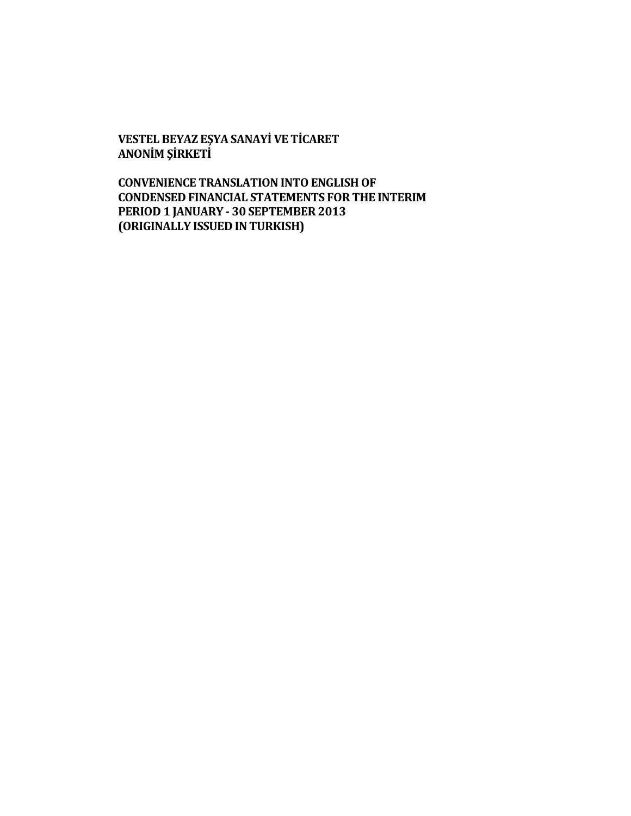**VESTEL BEYAZ EŞYA SANAYİ VE TİCARET ANONİM ŞİRKETİ**

**CONVENIENCE TRANSLATION INTO ENGLISH OF CONDENSED FINANCIAL STATEMENTS FOR THE INTERIM PERIOD 1 JANUARY - 30 SEPTEMBER 2013 (ORIGINALLY ISSUED IN TURKISH)**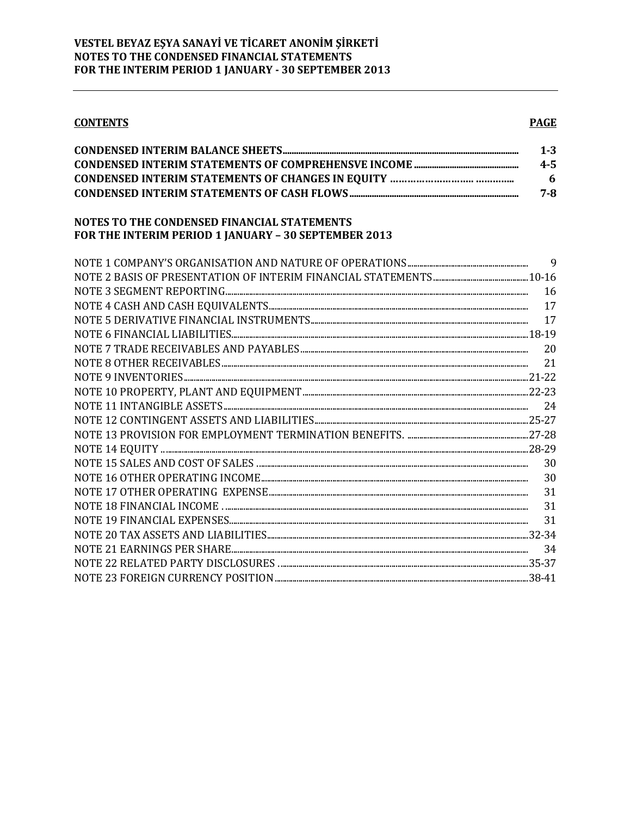**CONTENTS** 

### **PAGE**

| $1 - 3$ |
|---------|
| $4 - 5$ |
| 6       |
| 7-8     |

### NOTES TO THE CONDENSED FINANCIAL STATEMENTS FOR THE INTERIM PERIOD 1 JANUARY - 30 SEPTEMBER 2013

|    | 9 |
|----|---|
|    |   |
| 16 |   |
| 17 |   |
| 17 |   |
|    |   |
| 20 |   |
| 21 |   |
|    |   |
|    |   |
|    |   |
|    |   |
|    |   |
|    |   |
|    |   |
| 30 |   |
| 31 |   |
| 31 |   |
| 31 |   |
|    |   |
| 34 |   |
|    |   |
|    |   |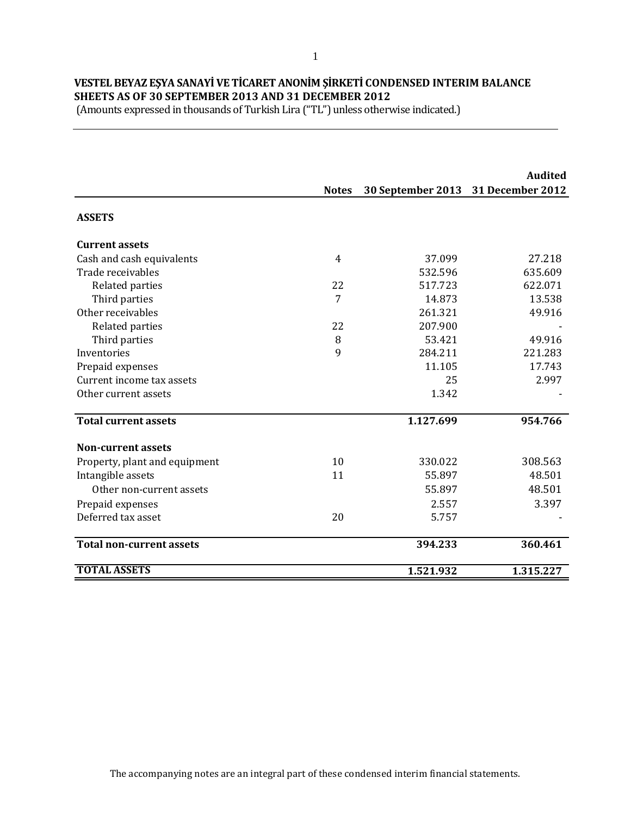# **VESTEL BEYAZ EŞYA SANAYİ VE TİCARET ANONİM ŞİRKETİ CONDENSED INTERIM BALANCE SHEETS AS OF 30 SEPTEMBER 2013 AND 31 DECEMBER 2012**

(Amounts expressed in thousands of Turkish Lira ("TL") unless otherwise indicated.)

|                                 |                |                   | <b>Audited</b>          |
|---------------------------------|----------------|-------------------|-------------------------|
|                                 | <b>Notes</b>   | 30 September 2013 | <b>31 December 2012</b> |
| <b>ASSETS</b>                   |                |                   |                         |
| <b>Current assets</b>           |                |                   |                         |
| Cash and cash equivalents       | $\overline{4}$ | 37.099            | 27.218                  |
| Trade receivables               |                | 532.596           | 635.609                 |
| Related parties                 | 22             | 517.723           | 622.071                 |
| Third parties                   | 7              | 14.873            | 13.538                  |
| Other receivables               |                | 261.321           | 49.916                  |
| Related parties                 | 22             | 207.900           |                         |
| Third parties                   | 8              | 53.421            | 49.916                  |
| Inventories                     | 9              | 284.211           | 221.283                 |
| Prepaid expenses                |                | 11.105            | 17.743                  |
| Current income tax assets       |                | 25                | 2.997                   |
| Other current assets            |                | 1.342             |                         |
| <b>Total current assets</b>     |                | 1.127.699         | 954.766                 |
| <b>Non-current assets</b>       |                |                   |                         |
| Property, plant and equipment   | 10             | 330.022           | 308.563                 |
| Intangible assets               | 11             | 55.897            | 48.501                  |
| Other non-current assets        |                | 55.897            | 48.501                  |
| Prepaid expenses                |                | 2.557             | 3.397                   |
| Deferred tax asset              | 20             | 5.757             |                         |
| <b>Total non-current assets</b> |                | 394.233           | 360.461                 |
| <b>TOTAL ASSETS</b>             |                | 1.521.932         | 1.315.227               |

The accompanying notes are an integral part of these condensed interim financial statements.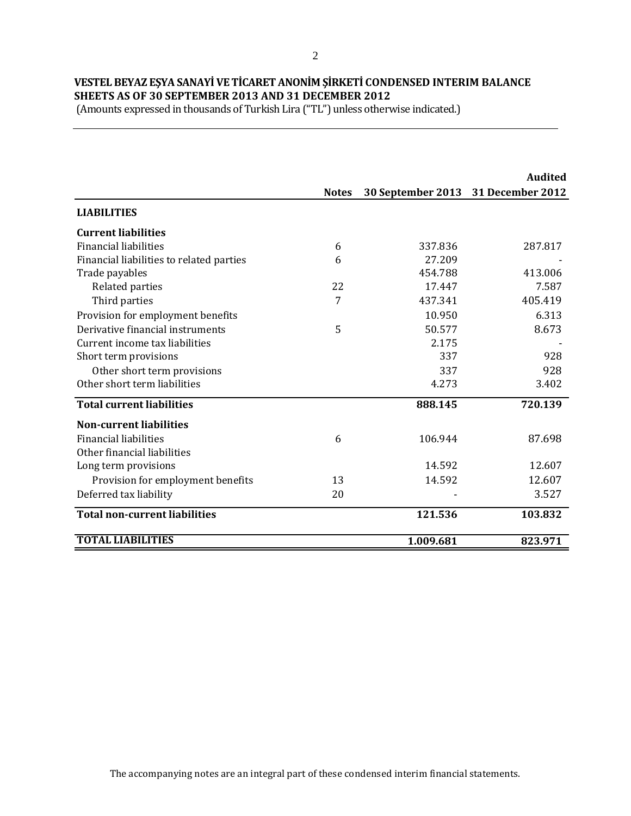# **VESTEL BEYAZ EŞYA SANAYİ VE TİCARET ANONİM ŞİRKETİ CONDENSED INTERIM BALANCE SHEETS AS OF 30 SEPTEMBER 2013 AND 31 DECEMBER 2012**

|                                          |              |                   | <b>Audited</b>   |
|------------------------------------------|--------------|-------------------|------------------|
|                                          | <b>Notes</b> | 30 September 2013 | 31 December 2012 |
| <b>LIABILITIES</b>                       |              |                   |                  |
| <b>Current liabilities</b>               |              |                   |                  |
| <b>Financial liabilities</b>             | 6            | 337.836           | 287.817          |
| Financial liabilities to related parties | 6            | 27.209            |                  |
| Trade payables                           |              | 454.788           | 413.006          |
| Related parties                          | 22           | 17.447            | 7.587            |
| Third parties                            | 7            | 437.341           | 405.419          |
| Provision for employment benefits        |              | 10.950            | 6.313            |
| Derivative financial instruments         | 5            | 50.577            | 8.673            |
| Current income tax liabilities           |              | 2.175             |                  |
| Short term provisions                    |              | 337               | 928              |
| Other short term provisions              |              | 337               | 928              |
| Other short term liabilities             |              | 4.273             | 3.402            |
| <b>Total current liabilities</b>         |              | 888.145           | 720.139          |
| <b>Non-current liabilities</b>           |              |                   |                  |
| <b>Financial liabilities</b>             | 6            | 106.944           | 87.698           |
| Other financial liabilities              |              |                   |                  |
| Long term provisions                     |              | 14.592            | 12.607           |
| Provision for employment benefits        | 13           | 14.592            | 12.607           |
| Deferred tax liability                   | 20           |                   | 3.527            |
| <b>Total non-current liabilities</b>     |              | 121.536           | 103.832          |
| <b>TOTAL LIABILITIES</b>                 |              | 1.009.681         | 823.971          |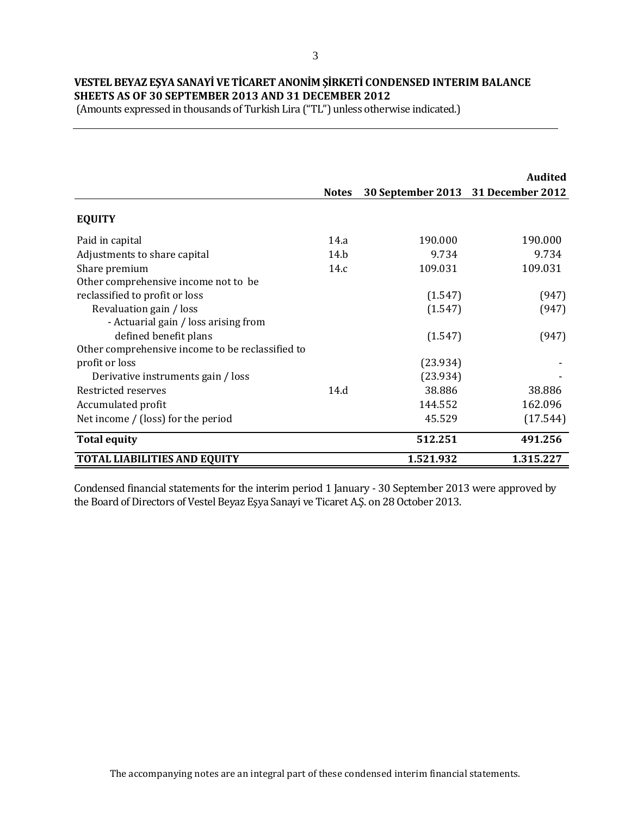# **VESTEL BEYAZ EŞYA SANAYİ VE TİCARET ANONİM ŞİRKETİ CONDENSED INTERIM BALANCE SHEETS AS OF 30 SEPTEMBER 2013 AND 31 DECEMBER 2012**

(Amounts expressed in thousands of Turkish Lira ("TL") unless otherwise indicated.)

|                                                  |              |                                    | <b>Audited</b> |
|--------------------------------------------------|--------------|------------------------------------|----------------|
|                                                  | <b>Notes</b> | 30 September 2013 31 December 2012 |                |
| <b>EQUITY</b>                                    |              |                                    |                |
| Paid in capital                                  | 14.a         | 190.000                            | 190.000        |
| Adjustments to share capital                     | 14.h         | 9.734                              | 9.734          |
| Share premium                                    | 14.c         | 109.031                            | 109.031        |
| Other comprehensive income not to be             |              |                                    |                |
| reclassified to profit or loss                   |              | (1.547)                            | (947)          |
| Revaluation gain / loss                          |              | (1.547)                            | (947)          |
| - Actuarial gain / loss arising from             |              |                                    |                |
| defined benefit plans                            |              | (1.547)                            | (947)          |
| Other comprehensive income to be reclassified to |              |                                    |                |
| profit or loss                                   |              | (23.934)                           |                |
| Derivative instruments gain / loss               |              | (23.934)                           |                |
| Restricted reserves                              | 14.d         | 38.886                             | 38.886         |
| Accumulated profit                               |              | 144.552                            | 162.096        |
| Net income / (loss) for the period               |              | 45.529                             | (17.544)       |
| <b>Total equity</b>                              |              | 512.251                            | 491.256        |
| <b>TOTAL LIABILITIES AND EQUITY</b>              |              | 1.521.932                          | 1.315.227      |

Condensed financial statements for the interim period 1 January - 30 September 2013 were approved by the Board of Directors of Vestel Beyaz Eşya Sanayi ve Ticaret A.Ş. on 28 October 2013.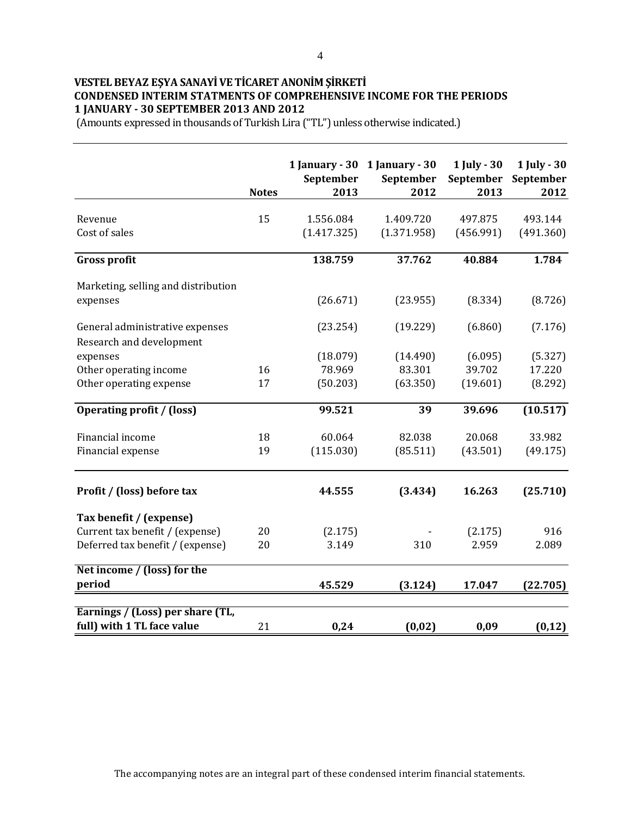# **VESTEL BEYAZ EŞYA SANAYİ VE TİCARET ANONİM ŞİRKETİ CONDENSED INTERIM STATMENTS OF COMPREHENSIVE INCOME FOR THE PERIODS 1 JANUARY - 30 SEPTEMBER 2013 AND 2012**

|                                     | <b>Notes</b> | 1 January - $30$<br>September<br>2013 | 1 January - 30<br>September<br>2012 | 1 July - 30<br>September<br>2013 | 1 July - 30<br>September<br>2012 |
|-------------------------------------|--------------|---------------------------------------|-------------------------------------|----------------------------------|----------------------------------|
| Revenue                             | 15           | 1.556.084                             | 1.409.720                           | 497.875                          | 493.144                          |
| Cost of sales                       |              | (1.417.325)                           | (1.371.958)                         | (456.991)                        | (491.360)                        |
| <b>Gross profit</b>                 |              | 138.759                               | 37.762                              | 40.884                           | 1.784                            |
| Marketing, selling and distribution |              |                                       |                                     |                                  |                                  |
| expenses                            |              | (26.671)                              | (23.955)                            | (8.334)                          | (8.726)                          |
| General administrative expenses     |              | (23.254)                              | (19.229)                            | (6.860)                          | (7.176)                          |
| Research and development            |              |                                       |                                     |                                  |                                  |
| expenses                            |              | (18.079)                              | (14.490)                            | (6.095)                          | (5.327)                          |
| Other operating income              | 16           | 78.969                                | 83.301                              | 39.702                           | 17.220                           |
| Other operating expense             | 17           | (50.203)                              | (63.350)                            | (19.601)                         | (8.292)                          |
| <b>Operating profit / (loss)</b>    |              | 99.521                                | 39                                  | 39.696                           | (10.517)                         |
| Financial income                    | 18           | 60.064                                | 82.038                              | 20.068                           | 33.982                           |
| Financial expense                   | 19           | (115.030)                             | (85.511)                            | (43.501)                         | (49.175)                         |
| Profit / (loss) before tax          |              | 44.555                                | (3.434)                             | 16.263                           | (25.710)                         |
| Tax benefit / (expense)             |              |                                       |                                     |                                  |                                  |
| Current tax benefit / (expense)     | 20           | (2.175)                               |                                     | (2.175)                          | 916                              |
| Deferred tax benefit / (expense)    | 20           | 3.149                                 | 310                                 | 2.959                            | 2.089                            |
| Net income / (loss) for the         |              |                                       |                                     |                                  |                                  |
| period                              |              | 45.529                                | (3.124)                             | 17.047                           | (22.705)                         |
| Earnings / (Loss) per share (TL,    |              |                                       |                                     |                                  |                                  |
| full) with 1 TL face value          | 21           | 0,24                                  | (0,02)                              | 0,09                             | (0, 12)                          |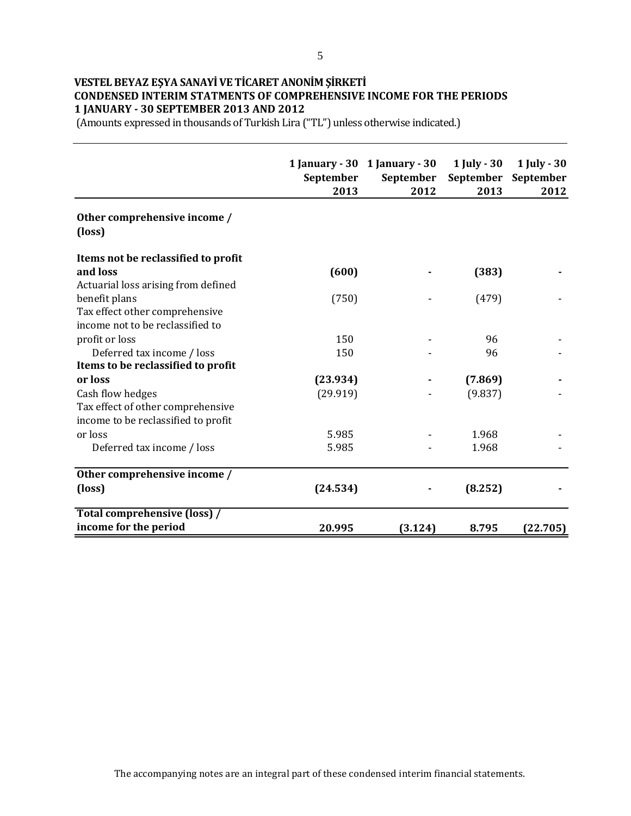### **VESTEL BEYAZ EŞYA SANAYİ VE TİCARET ANONİM ŞİRKETİ CONDENSED INTERIM STATMENTS OF COMPREHENSIVE INCOME FOR THE PERIODS 1 JANUARY - 30 SEPTEMBER 2013 AND 2012**

|                                        | September<br>2013 | 1 January - $30$ 1 January - $30$<br>September<br>2012 | 1 July - 30<br>September<br>2013 | <b>1 July - 30</b><br>September<br>2012 |
|----------------------------------------|-------------------|--------------------------------------------------------|----------------------------------|-----------------------------------------|
| Other comprehensive income /<br>(loss) |                   |                                                        |                                  |                                         |
| Items not be reclassified to profit    |                   |                                                        |                                  |                                         |
| and loss                               | (600)             |                                                        | (383)                            |                                         |
| Actuarial loss arising from defined    |                   |                                                        |                                  |                                         |
| benefit plans                          | (750)             |                                                        | (479)                            |                                         |
| Tax effect other comprehensive         |                   |                                                        |                                  |                                         |
| income not to be reclassified to       |                   |                                                        |                                  |                                         |
| profit or loss                         | 150               |                                                        | 96                               |                                         |
| Deferred tax income / loss             | 150               |                                                        | 96                               |                                         |
| Items to be reclassified to profit     |                   |                                                        |                                  |                                         |
| or loss                                | (23.934)          |                                                        | (7.869)                          |                                         |
| Cash flow hedges                       | (29.919)          |                                                        | (9.837)                          |                                         |
| Tax effect of other comprehensive      |                   |                                                        |                                  |                                         |
| income to be reclassified to profit    |                   |                                                        |                                  |                                         |
| or loss                                | 5.985             |                                                        | 1.968                            |                                         |
| Deferred tax income / loss             | 5.985             |                                                        | 1.968                            |                                         |
| Other comprehensive income /           |                   |                                                        |                                  |                                         |
| (loss)                                 | (24.534)          |                                                        | (8.252)                          |                                         |
| <b>Total comprehensive (loss) /</b>    |                   |                                                        |                                  |                                         |
| income for the period                  | 20.995            | (3.124)                                                | 8.795                            | (22.705)                                |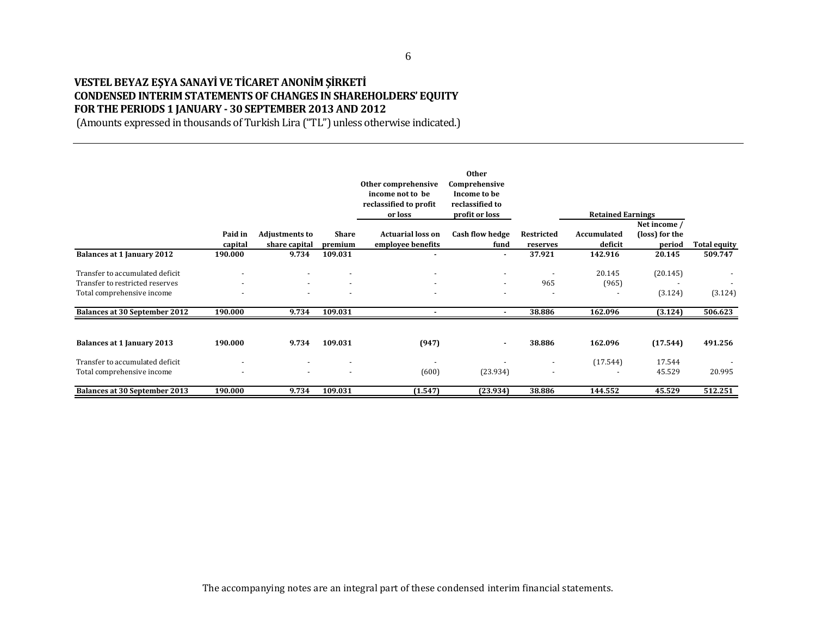### **VESTEL BEYAZ EŞYA SANAYİ VE TİCARET ANONİM ŞİRKETİ CONDENSED INTERIM STATEMENTS OF CHANGES IN SHAREHOLDERS' EQUITY FOR THE PERIODS 1 JANUARY - 30 SEPTEMBER 2013 AND 2012**

|                                                                                                  |                    |                                        |                         | Other comprehensive<br>income not to be<br>reclassified to profit<br>or loss | <b>Other</b><br>Comprehensive<br>Income to be<br>reclassified to<br>profit or loss |                          | <b>Retained Earnings</b> |                                          |                     |
|--------------------------------------------------------------------------------------------------|--------------------|----------------------------------------|-------------------------|------------------------------------------------------------------------------|------------------------------------------------------------------------------------|--------------------------|--------------------------|------------------------------------------|---------------------|
|                                                                                                  | Paid in<br>capital | <b>Adjustments to</b><br>share capital | <b>Share</b><br>premium | <b>Actuarial loss on</b><br>employee benefits                                | <b>Cash flow hedge</b><br>fund                                                     | Restricted<br>reserves   | Accumulated<br>deficit   | Net income /<br>(loss) for the<br>period | <b>Total equity</b> |
| <b>Balances at 1 January 2012</b>                                                                | 190.000            | 9.734                                  | 109.031                 |                                                                              | ٠                                                                                  | 37.921                   | 142.916                  | 20.145                                   | 509.747             |
| Transfer to accumulated deficit<br>Transfer to restricted reserves<br>Total comprehensive income |                    | $\overline{\phantom{a}}$               |                         | $\overline{a}$<br>$\overline{\phantom{a}}$                                   | ۰<br>$\overline{\phantom{a}}$                                                      | 965                      | 20.145<br>(965)          | (20.145)<br>(3.124)                      | (3.124)             |
| <b>Balances at 30 September 2012</b>                                                             | 190.000            | 9.734                                  | 109.031                 |                                                                              | ٠                                                                                  | 38.886                   | 162.096                  | (3.124)                                  | 506.623             |
| Balances at 1 January 2013                                                                       | 190.000            | 9.734                                  | 109.031                 | (947)                                                                        | ٠                                                                                  | 38.886                   | 162.096                  | (17.544)                                 | 491.256             |
| Transfer to accumulated deficit<br>Total comprehensive income                                    |                    | ٠                                      | $\overline{a}$          | $\overline{\phantom{a}}$<br>(600)                                            | (23.934)                                                                           | $\overline{\phantom{a}}$ | (17.544)                 | 17.544<br>45.529                         | 20.995              |
| <b>Balances at 30 September 2013</b>                                                             | 190.000            | 9.734                                  | 109.031                 | (1.547)                                                                      | (23.934)                                                                           | 38.886                   | 144.552                  | 45.529                                   | 512.251             |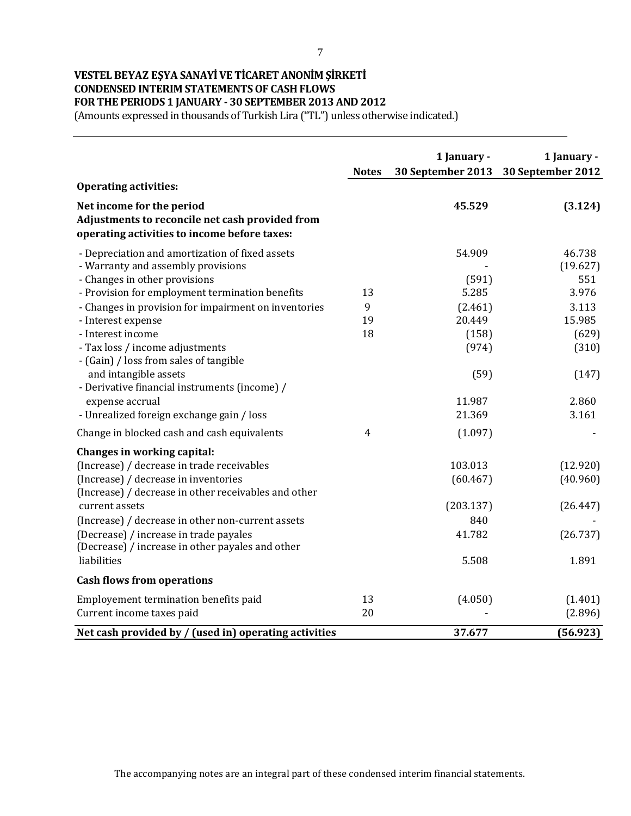### **VESTEL BEYAZ EŞYA SANAYİ VE TİCARET ANONİM ŞİRKETİ CONDENSED INTERIM STATEMENTS OF CASH FLOWS FOR THE PERIODS 1 JANUARY - 30 SEPTEMBER 2013 AND 2012**

(Amounts expressed in thousands of Turkish Lira ("TL") unless otherwise indicated.)

|                                                                                                                                                                           | <b>Notes</b>   | 1 January -         | 1 January -<br>30 September 2013 30 September 2012 |
|---------------------------------------------------------------------------------------------------------------------------------------------------------------------------|----------------|---------------------|----------------------------------------------------|
| <b>Operating activities:</b>                                                                                                                                              |                |                     |                                                    |
| Net income for the period<br>Adjustments to reconcile net cash provided from<br>operating activities to income before taxes:                                              |                | 45.529              | (3.124)                                            |
| - Depreciation and amortization of fixed assets<br>- Warranty and assembly provisions<br>- Changes in other provisions                                                    |                | 54.909<br>(591)     | 46.738<br>(19.627)<br>551                          |
| - Provision for employment termination benefits                                                                                                                           | 13             | 5.285               | 3.976                                              |
| - Changes in provision for impairment on inventories                                                                                                                      | 9              | (2.461)             | 3.113                                              |
| - Interest expense                                                                                                                                                        | 19             | 20.449              | 15.985                                             |
| - Interest income                                                                                                                                                         | 18             | (158)               | (629)                                              |
| - Tax loss / income adjustments<br>- (Gain) / loss from sales of tangible                                                                                                 |                | (974)               | (310)                                              |
| and intangible assets<br>- Derivative financial instruments (income) /                                                                                                    |                | (59)                | (147)                                              |
| expense accrual                                                                                                                                                           |                | 11.987              | 2.860                                              |
| - Unrealized foreign exchange gain / loss                                                                                                                                 |                | 21.369              | 3.161                                              |
| Change in blocked cash and cash equivalents                                                                                                                               | $\overline{4}$ | (1.097)             |                                                    |
| Changes in working capital:<br>(Increase) / decrease in trade receivables<br>(Increase) / decrease in inventories<br>(Increase) / decrease in other receivables and other |                | 103.013<br>(60.467) | (12.920)<br>(40.960)                               |
| current assets                                                                                                                                                            |                | (203.137)           | (26.447)                                           |
| (Increase) / decrease in other non-current assets                                                                                                                         |                | 840                 |                                                    |
| (Decrease) / increase in trade payales<br>(Decrease) / increase in other payales and other                                                                                |                | 41.782              | (26.737)                                           |
| liabilities                                                                                                                                                               |                | 5.508               | 1.891                                              |
| <b>Cash flows from operations</b>                                                                                                                                         |                |                     |                                                    |
| Employement termination benefits paid<br>Current income taxes paid                                                                                                        | 13<br>20       | (4.050)             | (1.401)<br>(2.896)                                 |
| Net cash provided by / (used in) operating activities                                                                                                                     |                | 37.677              | (56.923)                                           |

The accompanying notes are an integral part of these condensed interim financial statements.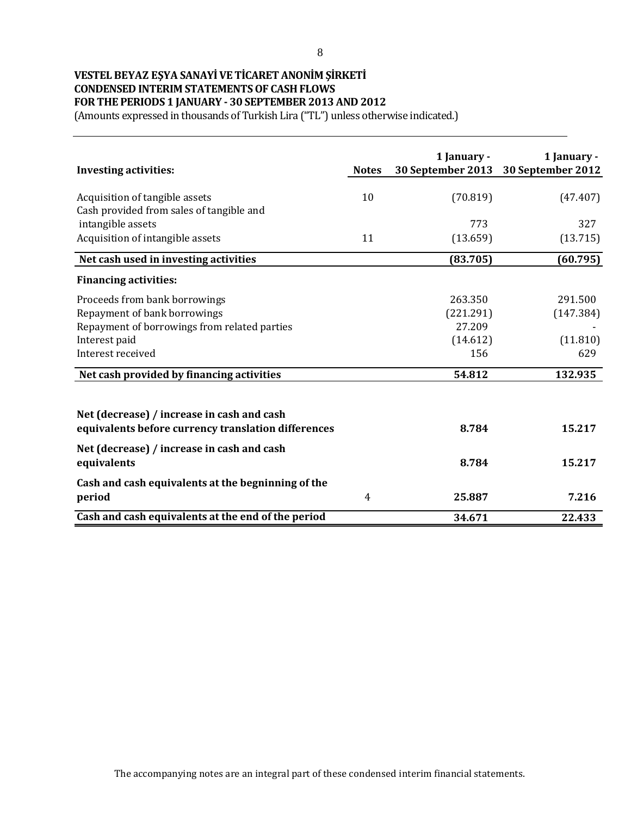### **VESTEL BEYAZ EŞYA SANAYİ VE TİCARET ANONİM ŞİRKETİ CONDENSED INTERIM STATEMENTS OF CASH FLOWS FOR THE PERIODS 1 JANUARY - 30 SEPTEMBER 2013 AND 2012**

| <b>Investing activities:</b>                                                                      | <b>Notes</b> | 1 January -<br>30 September 2013 | 1 January -<br>30 September 2012 |
|---------------------------------------------------------------------------------------------------|--------------|----------------------------------|----------------------------------|
| Acquisition of tangible assets<br>Cash provided from sales of tangible and                        | 10           | (70.819)                         | (47.407)                         |
| intangible assets                                                                                 |              | 773                              | 327                              |
| Acquisition of intangible assets                                                                  | 11           | (13.659)                         | (13.715)                         |
| Net cash used in investing activities                                                             |              | (83.705)                         | (60.795)                         |
| <b>Financing activities:</b>                                                                      |              |                                  |                                  |
| Proceeds from bank borrowings                                                                     |              | 263.350                          | 291.500                          |
| Repayment of bank borrowings                                                                      |              | (221.291)                        | (147.384)                        |
| Repayment of borrowings from related parties                                                      |              | 27.209                           |                                  |
| Interest paid                                                                                     |              | (14.612)                         | (11.810)                         |
| Interest received                                                                                 |              | 156                              | 629                              |
| Net cash provided by financing activities                                                         |              | 54.812                           | 132.935                          |
| Net (decrease) / increase in cash and cash<br>equivalents before currency translation differences |              | 8.784                            | 15.217                           |
| Net (decrease) / increase in cash and cash<br>equivalents                                         |              | 8.784                            | 15.217                           |
| Cash and cash equivalents at the begninning of the<br>period                                      | 4            | 25.887                           | 7.216                            |
| Cash and cash equivalents at the end of the period                                                |              | 34.671                           | 22.433                           |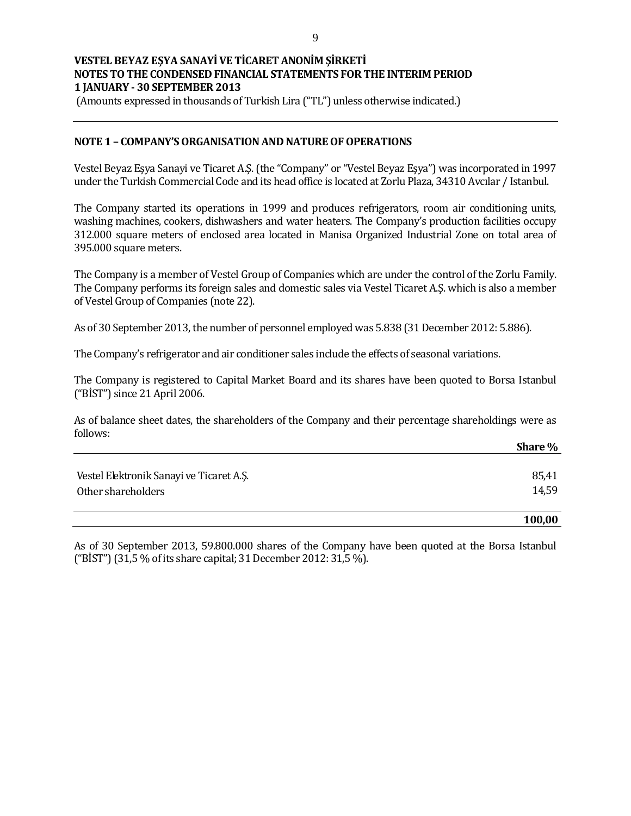(Amounts expressed in thousands of Turkish Lira ("TL") unless otherwise indicated.)

#### **NOTE 1 – COMPANY'S ORGANISATION AND NATURE OF OPERATIONS**

Vestel Beyaz Eşya Sanayi ve Ticaret A.Ş. (the "Company" or "Vestel Beyaz Eşya") was incorporated in 1997 under the Turkish Commercial Code and its head office is located at Zorlu Plaza, 34310 Avcılar / Istanbul.

The Company started its operations in 1999 and produces refrigerators, room air conditioning units, washing machines, cookers, dishwashers and water heaters. The Company's production facilities occupy 312.000 square meters of enclosed area located in Manisa Organized Industrial Zone on total area of 395.000 square meters.

The Company is a member of Vestel Group of Companies which are under the control of the Zorlu Family. The Company performs its foreign sales and domestic sales via Vestel Ticaret A.Ş. which is also a member of Vestel Group of Companies (note 22).

As of 30 September 2013, the number of personnel employed was 5.838 (31 December 2012: 5.886).

The Company's refrigerator and air conditioner sales include the effects of seasonal variations.

The Company is registered to Capital Market Board and its shares have been quoted to Borsa Istanbul ("BİST") since 21 April 2006.

As of balance sheet dates, the shareholders of the Company and their percentage shareholdings were as follows:

|                                          | Share % |
|------------------------------------------|---------|
|                                          |         |
| Vestel Elektronik Sanayi ve Ticaret A.Ş. | 85,41   |
| Other shareholders                       | 14,59   |
|                                          |         |

#### **100,00**

As of 30 September 2013, 59.800.000 shares of the Company have been quoted at the Borsa Istanbul ("BİST") (31,5 % of its share capital; 31 December 2012: 31,5 %).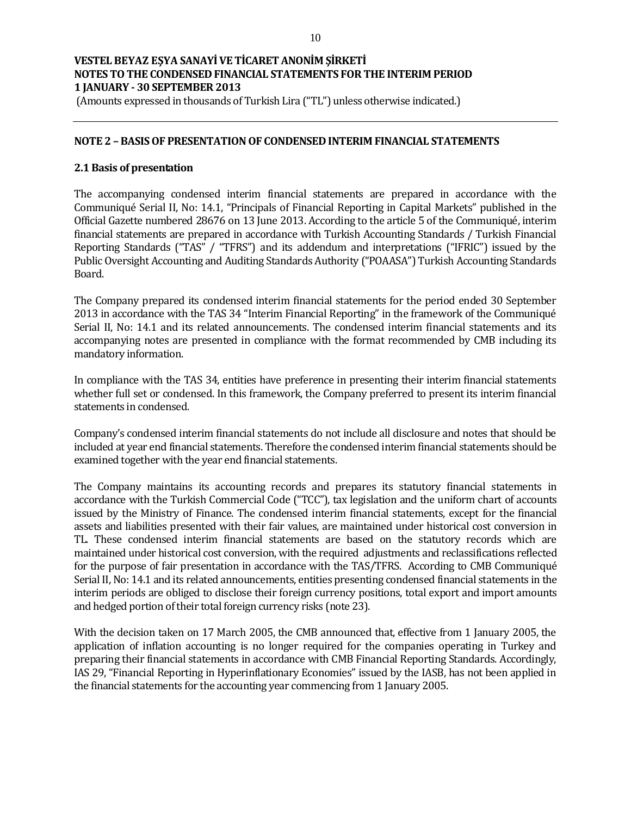(Amounts expressed in thousands of Turkish Lira ("TL") unless otherwise indicated.)

#### **NOTE 2 – BASIS OF PRESENTATION OF CONDENSED INTERIM FINANCIAL STATEMENTS**

#### **2.1 Basis of presentation**

The accompanying condensed interim financial statements are prepared in accordance with the Communiqué Serial II, No: 14.1, "Principals of Financial Reporting in Capital Markets" published in the Official Gazette numbered 28676 on 13 June 2013. According to the article 5 of the Communiqué, interim financial statements are prepared in accordance with Turkish Accounting Standards / Turkish Financial Reporting Standards ("TAS" / "TFRS") and its addendum and interpretations ("IFRIC") issued by the Public Oversight Accounting and Auditing Standards Authority ("POAASA") Turkish Accounting Standards Board.

The Company prepared its condensed interim financial statements for the period ended 30 September 2013 in accordance with the TAS 34 "Interim Financial Reporting" in the framework of the Communiqué Serial II, No: 14.1 and its related announcements. The condensed interim financial statements and its accompanying notes are presented in compliance with the format recommended by CMB including its mandatory information.

In compliance with the TAS 34, entities have preference in presenting their interim financial statements whether full set or condensed. In this framework, the Company preferred to present its interim financial statements in condensed.

Company's condensed interim financial statements do not include all disclosure and notes that should be included at year end financial statements. Therefore the condensed interim financial statements should be examined together with the year end financial statements.

The Company maintains its accounting records and prepares its statutory financial statements in accordance with the Turkish Commercial Code ("TCC"), tax legislation and the uniform chart of accounts issued by the Ministry of Finance. The condensed interim financial statements, except for the financial assets and liabilities presented with their fair values, are maintained under historical cost conversion in TL. These condensed interim financial statements are based on the statutory records which are maintained under historical cost conversion, with the required adjustments and reclassifications reflected for the purpose of fair presentation in accordance with the TAS/TFRS. According to CMB Communiqué Serial II, No: 14.1 and its related announcements, entities presenting condensed financial statements in the interim periods are obliged to disclose their foreign currency positions, total export and import amounts and hedged portion of their total foreign currency risks (note 23).

With the decision taken on 17 March 2005, the CMB announced that, effective from 1 January 2005, the application of inflation accounting is no longer required for the companies operating in Turkey and preparing their financial statements in accordance with CMB Financial Reporting Standards. Accordingly, IAS 29, "Financial Reporting in Hyperinflationary Economies" issued by the IASB, has not been applied in the financial statements for the accounting year commencing from 1 January 2005.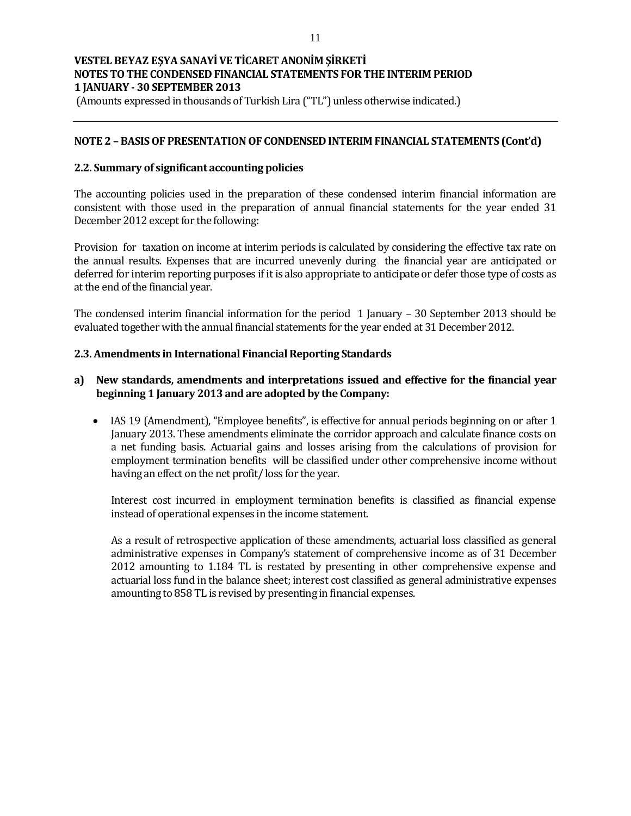(Amounts expressed in thousands of Turkish Lira ("TL") unless otherwise indicated.)

### **NOTE 2 – BASIS OF PRESENTATION OF CONDENSED INTERIM FINANCIAL STATEMENTS (Cont'd)**

#### **2.2. Summary of significant accounting policies**

The accounting policies used in the preparation of these condensed interim financial information are consistent with those used in the preparation of annual financial statements for the year ended 31 December 2012 except for the following:

Provision for taxation on income at interim periods is calculated by considering the effective tax rate on the annual results. Expenses that are incurred unevenly during the financial year are anticipated or deferred for interim reporting purposes if it is also appropriate to anticipate or defer those type of costs as at the end of the financial year.

The condensed interim financial information for the period 1 January – 30 September 2013 should be evaluated together with the annual financial statements for the year ended at 31 December 2012.

#### **2.3. Amendments in International Financial Reporting Standards**

#### **a) New standards, amendments and interpretations issued and effective for the financial year beginning 1 January 2013 and are adopted by the Company:**

• IAS 19 (Amendment), "Employee benefits", is effective for annual periods beginning on or after 1 January 2013. These amendments eliminate the corridor approach and calculate finance costs on a net funding basis. Actuarial gains and losses arising from the calculations of provision for employment termination benefits will be classified under other comprehensive income without having an effect on the net profit/ loss for the year.

Interest cost incurred in employment termination benefits is classified as financial expense instead of operational expenses in the income statement.

As a result of retrospective application of these amendments, actuarial loss classified as general administrative expenses in Company's statement of comprehensive income as of 31 December 2012 amounting to 1.184 TL is restated by presenting in other comprehensive expense and actuarial loss fund in the balance sheet; interest cost classified as general administrative expenses amounting to 858 TL is revised by presenting in financial expenses.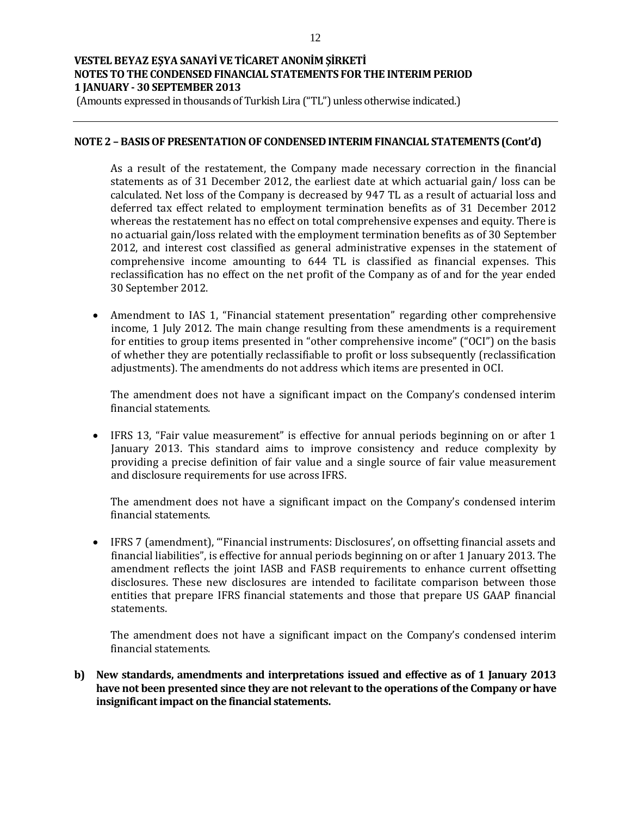(Amounts expressed in thousands of Turkish Lira ("TL") unless otherwise indicated.)

#### **NOTE 2 – BASIS OF PRESENTATION OF CONDENSED INTERIM FINANCIAL STATEMENTS (Cont'd)**

As a result of the restatement, the Company made necessary correction in the financial statements as of 31 December 2012, the earliest date at which actuarial gain/ loss can be calculated. Net loss of the Company is decreased by 947 TL as a result of actuarial loss and deferred tax effect related to employment termination benefits as of 31 December 2012 whereas the restatement has no effect on total comprehensive expenses and equity. There is no actuarial gain/loss related with the employment termination benefits as of 30 September 2012, and interest cost classified as general administrative expenses in the statement of comprehensive income amounting to 644 TL is classified as financial expenses. This reclassification has no effect on the net profit of the Company as of and for the year ended 30 September 2012.

 Amendment to IAS 1, "Financial statement presentation" regarding other comprehensive income, 1 July 2012. The main change resulting from these amendments is a requirement for entities to group items presented in "other comprehensive income" ("OCI") on the basis of whether they are potentially reclassifiable to profit or loss subsequently (reclassification adjustments). The amendments do not address which items are presented in OCI.

The amendment does not have a significant impact on the Company's condensed interim financial statements.

• IFRS 13, "Fair value measurement" is effective for annual periods beginning on or after 1 January 2013. This standard aims to improve consistency and reduce complexity by providing a precise definition of fair value and a single source of fair value measurement and disclosure requirements for use across IFRS.

The amendment does not have a significant impact on the Company's condensed interim financial statements.

 IFRS 7 (amendment), "'Financial instruments: Disclosures', on offsetting financial assets and financial liabilities", is effective for annual periods beginning on or after 1 January 2013. The amendment reflects the joint IASB and FASB requirements to enhance current offsetting disclosures. These new disclosures are intended to facilitate comparison between those entities that prepare IFRS financial statements and those that prepare US GAAP financial statements.

The amendment does not have a significant impact on the Company's condensed interim financial statements.

**b) New standards, amendments and interpretations issued and effective as of 1 January 2013 have not been presented since they are not relevant to the operations of the Company or have insignificant impact on the financial statements.**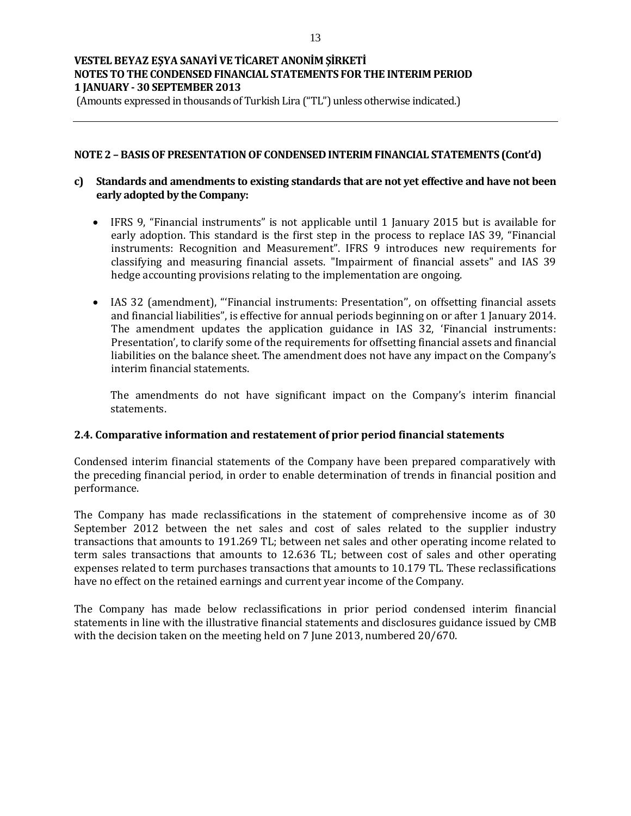(Amounts expressed in thousands of Turkish Lira ("TL") unless otherwise indicated.)

#### **NOTE 2 – BASIS OF PRESENTATION OF CONDENSED INTERIM FINANCIAL STATEMENTS (Cont'd)**

### **c) Standards and amendments to existing standards that are not yet effective and have not been early adopted by the Company:**

- IFRS 9, "Financial instruments" is not applicable until 1 January 2015 but is available for early adoption. This standard is the first step in the process to replace IAS 39, "Financial instruments: Recognition and Measurement". IFRS 9 introduces new requirements for classifying and measuring financial assets. "Impairment of financial assets" and IAS 39 hedge accounting provisions relating to the implementation are ongoing.
- IAS 32 (amendment), "Financial instruments: Presentation", on offsetting financial assets and financial liabilities", is effective for annual periods beginning on or after 1 January 2014. The amendment updates the application guidance in IAS 32, 'Financial instruments: Presentation', to clarify some of the requirements for offsetting financial assets and financial liabilities on the balance sheet. The amendment does not have any impact on the Company's interim financial statements.

The amendments do not have significant impact on the Company's interim financial statements.

#### **2.4. Comparative information and restatement of prior period financial statements**

Condensed interim financial statements of the Company have been prepared comparatively with the preceding financial period, in order to enable determination of trends in financial position and performance.

The Company has made reclassifications in the statement of comprehensive income as of 30 September 2012 between the net sales and cost of sales related to the supplier industry transactions that amounts to 191.269 TL; between net sales and other operating income related to term sales transactions that amounts to 12.636 TL; between cost of sales and other operating expenses related to term purchases transactions that amounts to 10.179 TL. These reclassifications have no effect on the retained earnings and current year income of the Company.

The Company has made below reclassifications in prior period condensed interim financial statements in line with the illustrative financial statements and disclosures guidance issued by CMB with the decision taken on the meeting held on 7 June 2013, numbered 20/670.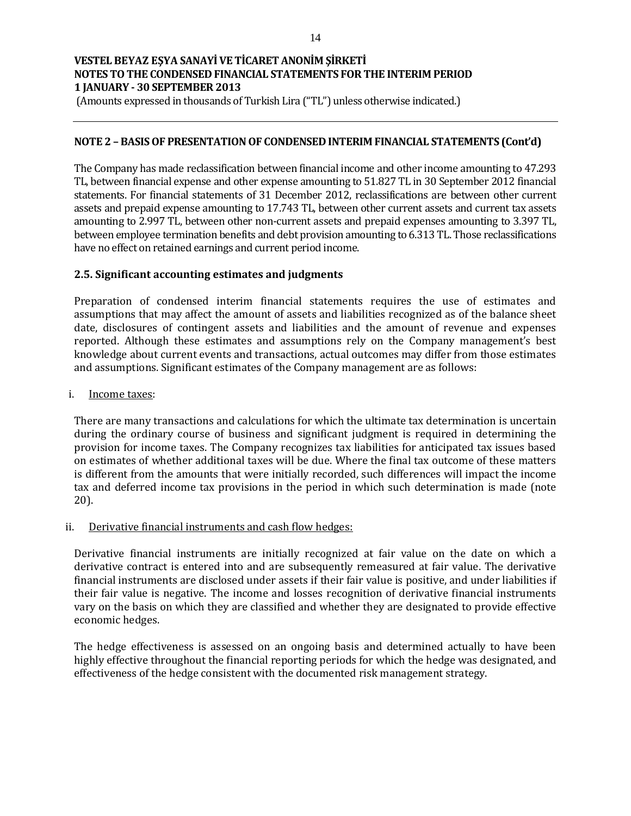(Amounts expressed in thousands of Turkish Lira ("TL") unless otherwise indicated.)

### **NOTE 2 – BASIS OF PRESENTATION OF CONDENSED INTERIM FINANCIAL STATEMENTS (Cont'd)**

The Company has made reclassification between financial income and other income amounting to 47.293 TL, between financial expense and other expense amounting to 51.827 TL in 30 September 2012 financial statements. For financial statements of 31 December 2012, reclassifications are between other current assets and prepaid expense amounting to 17.743 TL, between other current assets and current tax assets amounting to 2.997 TL, between other non-current assets and prepaid expenses amounting to 3.397 TL, between employee termination benefits and debt provision amounting to 6.313 TL. Those reclassifications have no effect on retained earnings and current period income.

### **2.5. Significant accounting estimates and judgments**

Preparation of condensed interim financial statements requires the use of estimates and assumptions that may affect the amount of assets and liabilities recognized as of the balance sheet date, disclosures of contingent assets and liabilities and the amount of revenue and expenses reported. Although these estimates and assumptions rely on the Company management's best knowledge about current events and transactions, actual outcomes may differ from those estimates and assumptions. Significant estimates of the Company management are as follows:

i. Income taxes:

There are many transactions and calculations for which the ultimate tax determination is uncertain during the ordinary course of business and significant judgment is required in determining the provision for income taxes. The Company recognizes tax liabilities for anticipated tax issues based on estimates of whether additional taxes will be due. Where the final tax outcome of these matters is different from the amounts that were initially recorded, such differences will impact the income tax and deferred income tax provisions in the period in which such determination is made (note 20).

### ii. Derivative financial instruments and cash flow hedges:

Derivative financial instruments are initially recognized at fair value on the date on which a derivative contract is entered into and are subsequently remeasured at fair value. The derivative financial instruments are disclosed under assets if their fair value is positive, and under liabilities if their fair value is negative. The income and losses recognition of derivative financial instruments vary on the basis on which they are classified and whether they are designated to provide effective economic hedges.

The hedge effectiveness is assessed on an ongoing basis and determined actually to have been highly effective throughout the financial reporting periods for which the hedge was designated, and effectiveness of the hedge consistent with the documented risk management strategy.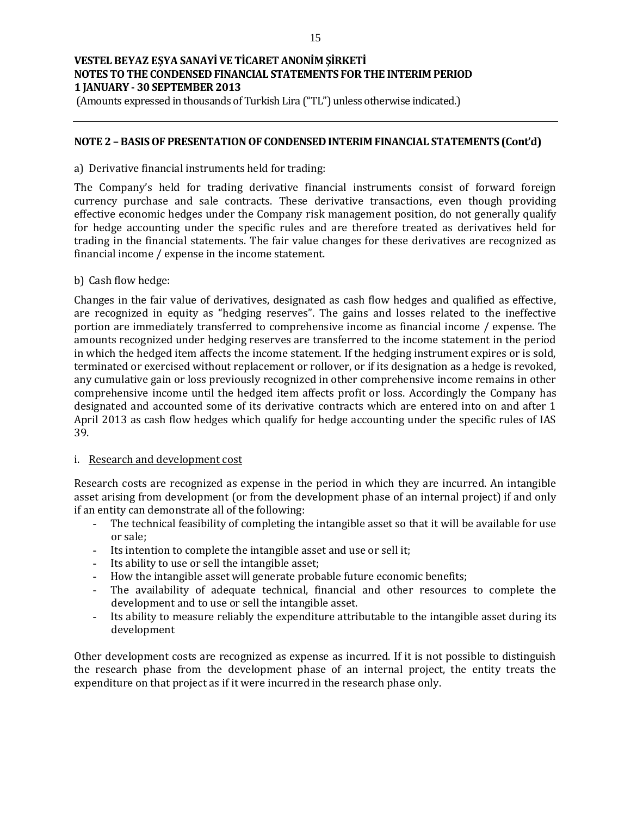(Amounts expressed in thousands of Turkish Lira ("TL") unless otherwise indicated.)

#### **NOTE 2 – BASIS OF PRESENTATION OF CONDENSED INTERIM FINANCIAL STATEMENTS (Cont'd)**

#### a) Derivative financial instruments held for trading:

The Company's held for trading derivative financial instruments consist of forward foreign currency purchase and sale contracts. These derivative transactions, even though providing effective economic hedges under the Company risk management position, do not generally qualify for hedge accounting under the specific rules and are therefore treated as derivatives held for trading in the financial statements. The fair value changes for these derivatives are recognized as financial income / expense in the income statement.

b) Cash flow hedge:

Changes in the fair value of derivatives, designated as cash flow hedges and qualified as effective, are recognized in equity as "hedging reserves". The gains and losses related to the ineffective portion are immediately transferred to comprehensive income as financial income / expense. The amounts recognized under hedging reserves are transferred to the income statement in the period in which the hedged item affects the income statement. If the hedging instrument expires or is sold, terminated or exercised without replacement or rollover, or if its designation as a hedge is revoked, any cumulative gain or loss previously recognized in other comprehensive income remains in other comprehensive income until the hedged item affects profit or loss. Accordingly the Company has designated and accounted some of its derivative contracts which are entered into on and after 1 April 2013 as cash flow hedges which qualify for hedge accounting under the specific rules of IAS 39.

### i. Research and development cost

Research costs are recognized as expense in the period in which they are incurred. An intangible asset arising from development (or from the development phase of an internal project) if and only if an entity can demonstrate all of the following:

- The technical feasibility of completing the intangible asset so that it will be available for use or sale;
- Its intention to complete the intangible asset and use or sell it;
- Its ability to use or sell the intangible asset;
- How the intangible asset will generate probable future economic benefits;
- The availability of adequate technical, financial and other resources to complete the development and to use or sell the intangible asset.
- Its ability to measure reliably the expenditure attributable to the intangible asset during its development

Other development costs are recognized as expense as incurred. If it is not possible to distinguish the research phase from the development phase of an internal project, the entity treats the expenditure on that project as if it were incurred in the research phase only.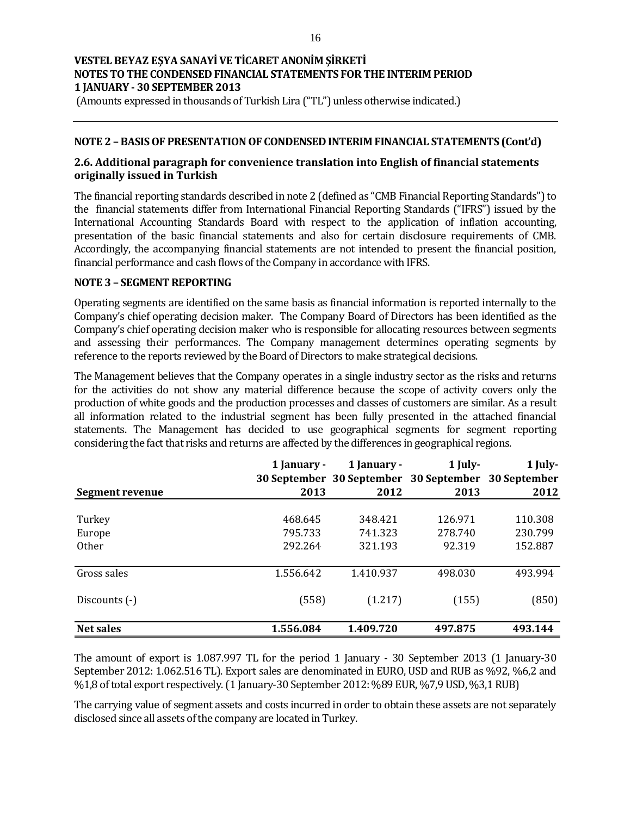(Amounts expressed in thousands of Turkish Lira ("TL") unless otherwise indicated.)

### **NOTE 2 – BASIS OF PRESENTATION OF CONDENSED INTERIM FINANCIAL STATEMENTS (Cont'd)**

### **2.6. Additional paragraph for convenience translation into English of financial statements originally issued in Turkish**

The financial reporting standards described in note 2 (defined as "CMB Financial Reporting Standards") to the financial statements differ from International Financial Reporting Standards ("IFRS") issued by the International Accounting Standards Board with respect to the application of inflation accounting, presentation of the basic financial statements and also for certain disclosure requirements of CMB. Accordingly, the accompanying financial statements are not intended to present the financial position, financial performance and cash flows of the Company in accordance with IFRS.

#### **NOTE 3 – SEGMENT REPORTING**

Operating segments are identified on the same basis as financial information is reported internally to the Company's chief operating decision maker. The Company Board of Directors has been identified as the Company's chief operating decision maker who is responsible for allocating resources between segments and assessing their performances. The Company management determines operating segments by reference to the reports reviewed by the Board of Directors to make strategical decisions.

The Management believes that the Company operates in a single industry sector as the risks and returns for the activities do not show any material difference because the scope of activity covers only the production of white goods and the production processes and classes of customers are similar. As a result all information related to the industrial segment has been fully presented in the attached financial statements. The Management has decided to use geographical segments for segment reporting considering the fact that risks and returns are affected by the differences in geographical regions.

|                  | 1 January - | 1 January -                                         | 1 July- | 1 July- |
|------------------|-------------|-----------------------------------------------------|---------|---------|
|                  |             | 30 September 30 September 30 September 30 September |         |         |
| Segment revenue  | 2013        | 2012                                                | 2013    | 2012    |
|                  |             |                                                     |         |         |
| Turkey           | 468.645     | 348.421                                             | 126.971 | 110.308 |
| Europe           | 795.733     | 741.323                                             | 278.740 | 230.799 |
| <b>Other</b>     | 292.264     | 321.193                                             | 92.319  | 152.887 |
|                  |             |                                                     |         |         |
| Gross sales      | 1.556.642   | 1.410.937                                           | 498.030 | 493.994 |
|                  |             |                                                     |         |         |
| Discounts (-)    | (558)       | (1.217)                                             | (155)   | (850)   |
|                  |             |                                                     |         |         |
| <b>Net sales</b> | 1.556.084   | 1.409.720                                           | 497.875 | 493.144 |

The amount of export is 1.087.997 TL for the period 1 January - 30 September 2013 (1 January-30 September 2012: 1.062.516 TL). Export sales are denominated in EURO, USD and RUB as %92, %6,2 and %1,8 of total export respectively. (1 January-30 September 2012: %89 EUR, %7,9 USD, %3,1 RUB)

The carrying value of segment assets and costs incurred in order to obtain these assets are not separately disclosed since all assets of the company are located in Turkey.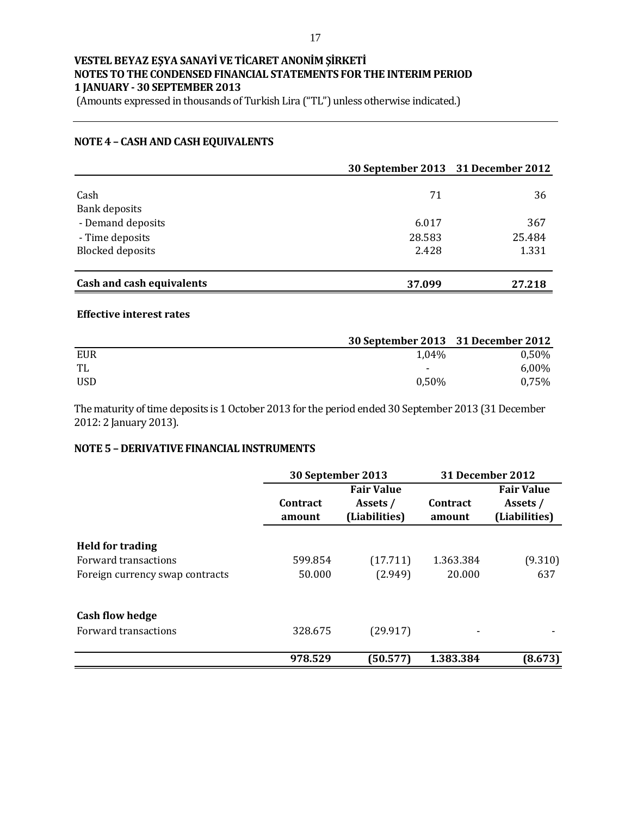(Amounts expressed in thousands of Turkish Lira ("TL") unless otherwise indicated.)

### **NOTE 4 – CASH AND CASH EQUIVALENTS**

|                           | 30 September 2013 31 December 2012 |        |
|---------------------------|------------------------------------|--------|
| Cash                      | 71                                 | 36     |
| <b>Bank deposits</b>      |                                    |        |
| - Demand deposits         | 6.017                              | 367    |
| - Time deposits           | 28.583                             | 25.484 |
| <b>Blocked deposits</b>   | 2.428                              | 1.331  |
| Cash and cash equivalents | 37.099                             | 27.218 |

#### **Effective interest rates**

|     | 30 September 2013 31 December 2012 |          |
|-----|------------------------------------|----------|
| EUR | 1,04%                              | 0,50%    |
| TL  | $\overline{\phantom{a}}$           | $6,00\%$ |
| USD | $0.50\%$                           | 0,75%    |

The maturity of time deposits is 1 October 2013 for the period ended 30 September 2013 (31 December 2012: 2 January 2013).

### **NOTE 5 – DERIVATIVE FINANCIAL INSTRUMENTS**

|                                 |                           | 30 September 2013                              |                    | 31 December 2012                               |
|---------------------------------|---------------------------|------------------------------------------------|--------------------|------------------------------------------------|
|                                 | <b>Contract</b><br>amount | <b>Fair Value</b><br>Assets /<br>(Liabilities) | Contract<br>amount | <b>Fair Value</b><br>Assets /<br>(Liabilities) |
| <b>Held for trading</b>         |                           |                                                |                    |                                                |
| Forward transactions            | 599.854                   | (17.711)                                       | 1.363.384          | (9.310)                                        |
| Foreign currency swap contracts | 50.000                    | (2.949)                                        | 20.000             | 637                                            |
| <b>Cash flow hedge</b>          |                           |                                                |                    |                                                |
| Forward transactions            | 328.675                   | (29.917)                                       |                    |                                                |
|                                 | 978.529                   | (50.577)                                       | 1.383.384          | (8.673)                                        |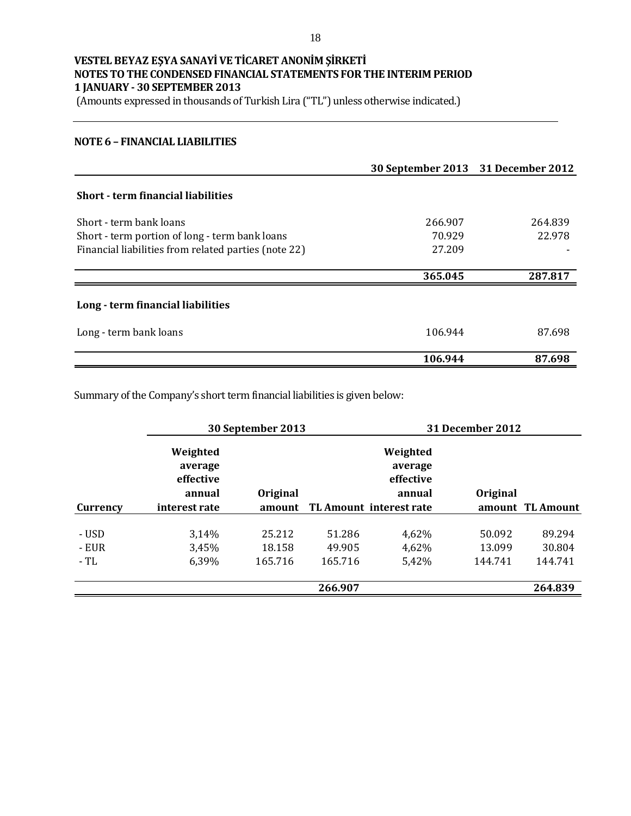(Amounts expressed in thousands of Turkish Lira ("TL") unless otherwise indicated.)

#### **NOTE 6 – FINANCIAL LIABILITIES**

|                                                      | 30 September 2013 31 December 2012 |         |
|------------------------------------------------------|------------------------------------|---------|
| <b>Short - term financial liabilities</b>            |                                    |         |
| Short - term bank loans                              | 266.907                            | 264.839 |
| Short - term portion of long - term bank loans       | 70.929                             | 22.978  |
| Financial liabilities from related parties (note 22) | 27.209                             |         |
|                                                      | 365.045                            | 287.817 |
| Long - term financial liabilities                    |                                    |         |
| Long - term bank loans                               | 106.944                            | 87.698  |
|                                                      | 106.944                            | 87.698  |

Summary of the Company's short term financial liabilities is given below:

|                 |                                            | 30 September 2013 |         |                                            | 31 December 2012 |                  |
|-----------------|--------------------------------------------|-------------------|---------|--------------------------------------------|------------------|------------------|
|                 | Weighted<br>average<br>effective<br>annual | Original          |         | Weighted<br>average<br>effective<br>annual | Original         |                  |
| <b>Currency</b> | interest rate                              | amount            |         | TL Amount interest rate                    |                  | amount TL Amount |
|                 |                                            |                   |         |                                            |                  |                  |
| - USD           | 3,14%                                      | 25.212            | 51.286  | 4,62%                                      | 50.092           | 89.294           |
| - EUR           | 3,45%                                      | 18.158            | 49.905  | 4,62%                                      | 13.099           | 30.804           |
| - TL            | 6.39%                                      | 165.716           | 165.716 | 5,42%                                      | 144.741          | 144.741          |
|                 |                                            |                   |         |                                            |                  |                  |
|                 |                                            |                   | 266.907 |                                            |                  | 264.839          |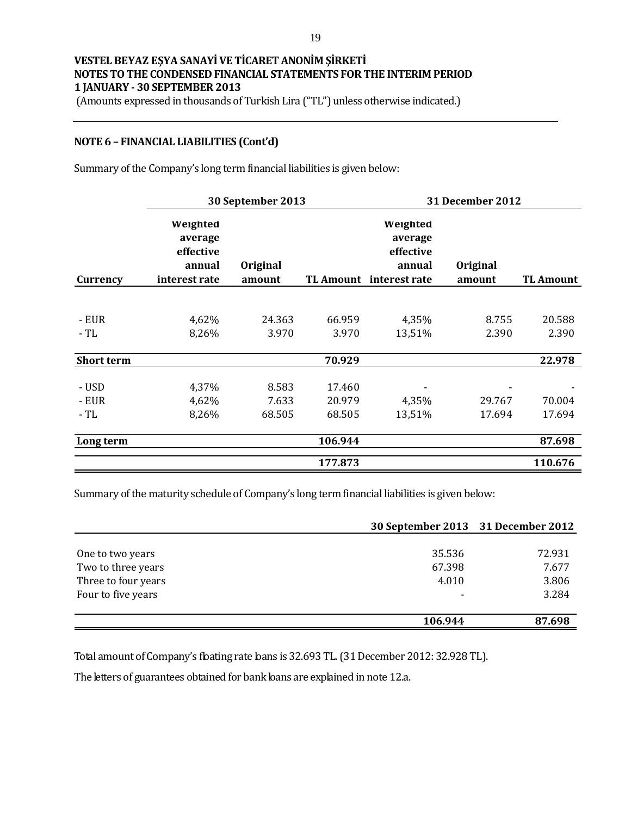(Amounts expressed in thousands of Turkish Lira ("TL") unless otherwise indicated.)

#### **NOTE 6 – FINANCIAL LIABILITIES (Cont'd)**

Summary of the Company's long term financial liabilities is given below:

|                   | 30 September 2013                                           |                    |                  | 31 December 2012                                                      |                    |                  |
|-------------------|-------------------------------------------------------------|--------------------|------------------|-----------------------------------------------------------------------|--------------------|------------------|
| Currency          | Weighted<br>average<br>effective<br>annual<br>interest rate | Original<br>amount |                  | Weighted<br>average<br>effective<br>annual<br>TL Amount interest rate | Original<br>amount | TL Amount        |
|                   |                                                             |                    |                  |                                                                       |                    |                  |
| - EUR<br>- TL     | 4,62%<br>8,26%                                              | 24.363<br>3.970    | 66.959<br>3.970  | 4,35%<br>13,51%                                                       | 8.755<br>2.390     | 20.588<br>2.390  |
|                   |                                                             |                    |                  |                                                                       |                    |                  |
| <b>Short term</b> |                                                             |                    | 70.929           |                                                                       |                    | 22.978           |
| - USD             | 4,37%                                                       | 8.583              | 17.460           |                                                                       |                    |                  |
| - EUR<br>- TL     | 4,62%<br>8,26%                                              | 7.633<br>68.505    | 20.979<br>68.505 | 4,35%<br>13,51%                                                       | 29.767<br>17.694   | 70.004<br>17.694 |
|                   |                                                             |                    |                  |                                                                       |                    |                  |
| Long term         |                                                             |                    | 106.944          |                                                                       |                    | 87.698           |
|                   |                                                             |                    | 177.873          |                                                                       |                    | 110.676          |

Summary of the maturity schedule of Company's long term financial liabilities is given below:

|                     | 30 September 2013 31 December 2012 |        |
|---------------------|------------------------------------|--------|
|                     |                                    |        |
| One to two years    | 35.536                             | 72.931 |
| Two to three years  | 67.398                             | 7.677  |
| Three to four years | 4.010                              | 3.806  |
| Four to five years  |                                    | 3.284  |
|                     |                                    |        |
|                     | 106.944                            | 87.698 |

Total amount of Company's floating rate loans is 32.693 TL. (31 December 2012: 32.928 TL).

The letters of guarantees obtained for bank loans are explained in note 12.a.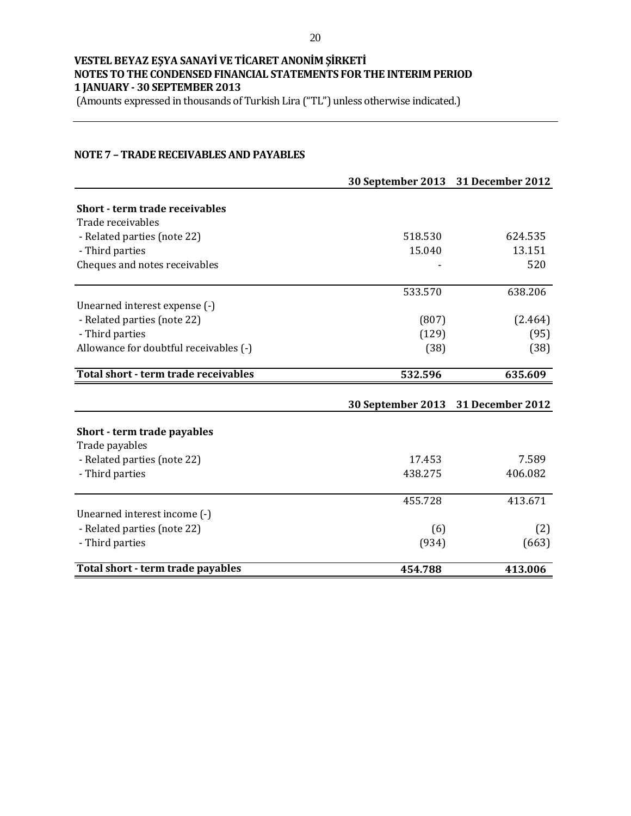(Amounts expressed in thousands of Turkish Lira ("TL") unless otherwise indicated.)

### **NOTE 7 – TRADE RECEIVABLES AND PAYABLES**

|                                        | 30 September 2013 31 December 2012 |                  |
|----------------------------------------|------------------------------------|------------------|
| <b>Short - term trade receivables</b>  |                                    |                  |
| Trade receivables                      |                                    |                  |
| - Related parties (note 22)            | 518.530                            | 624.535          |
| - Third parties                        | 15.040                             | 13.151           |
| Cheques and notes receivables          |                                    | 520              |
|                                        | 533.570                            | 638.206          |
| Unearned interest expense (-)          |                                    |                  |
| - Related parties (note 22)            | (807)                              | (2.464)          |
| - Third parties                        | (129)                              | (95)             |
| Allowance for doubtful receivables (-) | (38)                               | (38)             |
| Total short - term trade receivables   | 532.596                            | 635.609          |
|                                        | 30 September 2013                  | 31 December 2012 |
| Short - term trade payables            |                                    |                  |
| Trade payables                         |                                    |                  |
| - Related parties (note 22)            | 17.453                             | 7.589            |
| - Third parties                        | 438.275                            | 406.082          |
|                                        | 455.728                            | 413.671          |
| Unearned interest income (-)           |                                    |                  |
| - Related parties (note 22)            | (6)                                | (2)              |
| - Third parties                        | (934)                              | (663)            |
| Total short - term trade payables      | 454.788                            | 413.006          |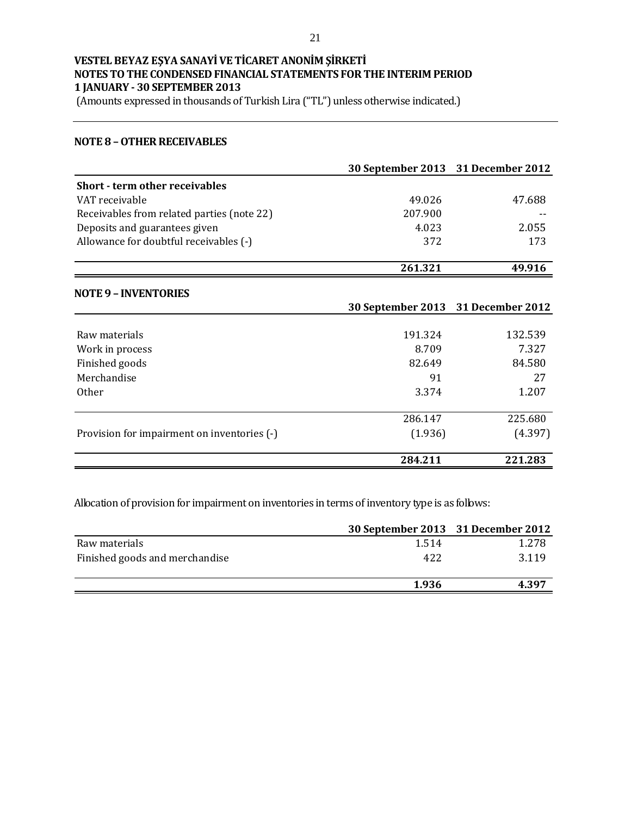(Amounts expressed in thousands of Turkish Lira ("TL") unless otherwise indicated.)

#### **NOTE 8 –OTHER RECEIVABLES**

|                                             | 30 September 2013 31 December 2012 |         |
|---------------------------------------------|------------------------------------|---------|
| <b>Short - term other receivables</b>       |                                    |         |
| VAT receivable                              | 49.026                             | 47.688  |
| Receivables from related parties (note 22)  | 207.900                            |         |
| Deposits and guarantees given               | 4.023                              | 2.055   |
| Allowance for doubtful receivables (-)      | 372                                | 173     |
|                                             | 261.321                            | 49.916  |
| <b>NOTE 9 - INVENTORIES</b>                 |                                    |         |
|                                             | 30 September 2013 31 December 2012 |         |
|                                             |                                    |         |
| Raw materials                               | 191.324                            | 132.539 |
| Work in process                             | 8.709                              | 7.327   |
| Finished goods                              | 82.649                             | 84.580  |
| Merchandise                                 | 91                                 | 27      |
| 0ther                                       | 3.374                              | 1.207   |
|                                             | 286.147                            | 225.680 |
| Provision for impairment on inventories (-) | (1.936)                            | (4.397) |
|                                             | 284.211                            | 221.283 |

Allocation of provision for impairment on inventories in terms of inventory type is as follows:

|                                | 30 September 2013 31 December 2012 |       |
|--------------------------------|------------------------------------|-------|
| Raw materials                  | 1.514                              | 1.278 |
| Finished goods and merchandise | 422                                | 3.119 |
|                                | 1.936                              | 4.397 |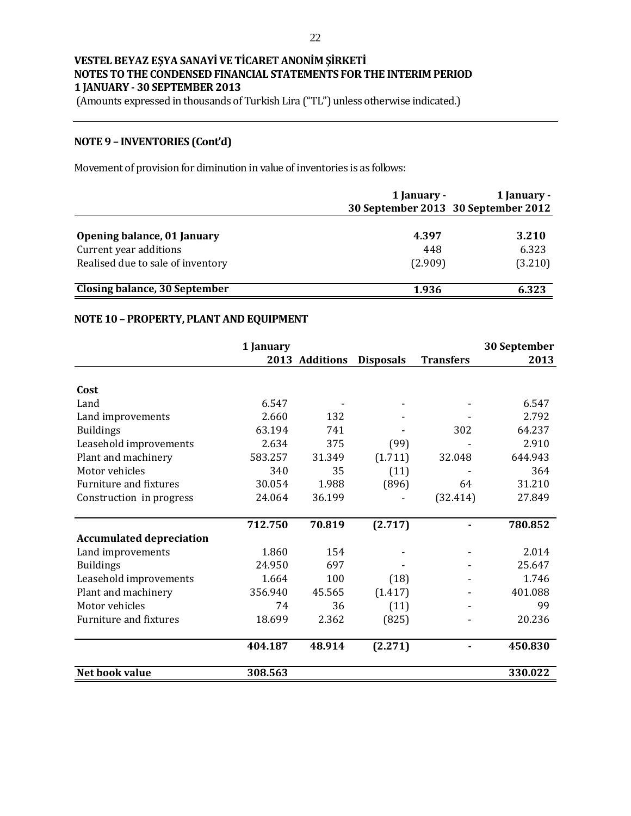(Amounts expressed in thousands of Turkish Lira ("TL") unless otherwise indicated.)

### **NOTE 9 – INVENTORIES (Cont'd)**

Movement of provision for diminution in value of inventories is as follows:

|                                   | 1 January -                         | 1 January - |
|-----------------------------------|-------------------------------------|-------------|
|                                   | 30 September 2013 30 September 2012 |             |
|                                   |                                     |             |
| Opening balance, 01 January       | 4.397                               | 3.210       |
| Current year additions            | 448                                 | 6.323       |
| Realised due to sale of inventory | (2.909)                             | (3.210)     |
| Closing balance, 30 September     | 1.936                               | 6.323       |

# **NOTE 10 – PROPERTY, PLANT AND EQUIPMENT**

|                                 | 1 January |                |                  |                  | 30 September |
|---------------------------------|-----------|----------------|------------------|------------------|--------------|
|                                 |           | 2013 Additions | <b>Disposals</b> | <b>Transfers</b> | 2013         |
|                                 |           |                |                  |                  |              |
| Cost                            |           |                |                  |                  |              |
| Land                            | 6.547     |                |                  |                  | 6.547        |
| Land improvements               | 2.660     | 132            |                  |                  | 2.792        |
| <b>Buildings</b>                | 63.194    | 741            |                  | 302              | 64.237       |
| Leasehold improvements          | 2.634     | 375            | (99)             |                  | 2.910        |
| Plant and machinery             | 583.257   | 31.349         | (1.711)          | 32.048           | 644.943      |
| Motor vehicles                  | 340       | 35             | (11)             |                  | 364          |
| Furniture and fixtures          | 30.054    | 1.988          | (896)            | 64               | 31.210       |
| Construction in progress        | 24.064    | 36.199         |                  | (32.414)         | 27.849       |
|                                 | 712.750   | 70.819         | (2.717)          |                  | 780.852      |
| <b>Accumulated depreciation</b> |           |                |                  |                  |              |
| Land improvements               | 1.860     | 154            |                  |                  | 2.014        |
| <b>Buildings</b>                | 24.950    | 697            |                  |                  | 25.647       |
| Leasehold improvements          | 1.664     | 100            | (18)             |                  | 1.746        |
| Plant and machinery             | 356.940   | 45.565         | (1.417)          |                  | 401.088      |
| Motor vehicles                  | 74        | 36             | (11)             |                  | 99           |
| Furniture and fixtures          | 18.699    | 2.362          | (825)            |                  | 20.236       |
|                                 | 404.187   | 48.914         | (2.271)          |                  | 450.830      |
| Net book value                  | 308.563   |                |                  |                  | 330.022      |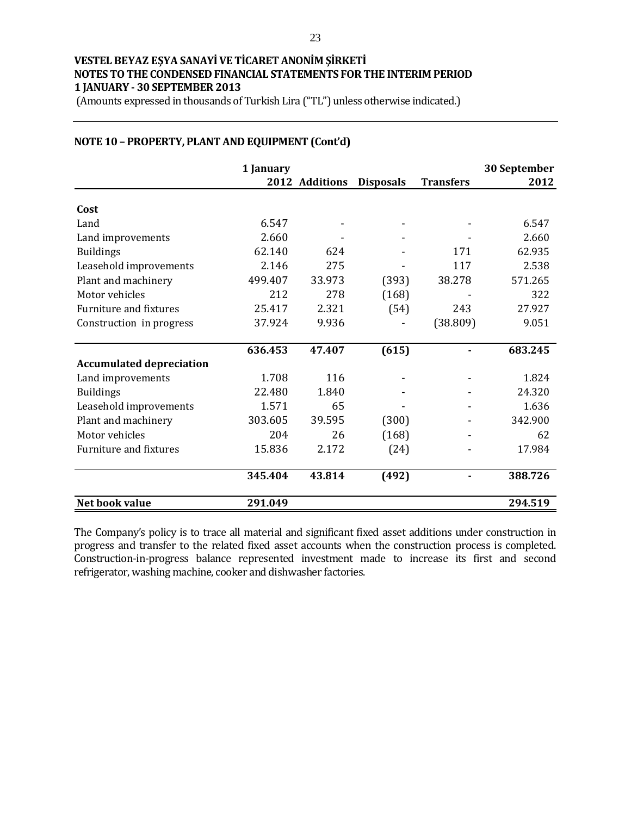(Amounts expressed in thousands of Turkish Lira ("TL") unless otherwise indicated.)

|                                 | 1 January |                |                  |                  | 30 September |
|---------------------------------|-----------|----------------|------------------|------------------|--------------|
|                                 |           | 2012 Additions | <b>Disposals</b> | <b>Transfers</b> | 2012         |
| Cost                            |           |                |                  |                  |              |
| Land                            | 6.547     |                |                  |                  | 6.547        |
| Land improvements               | 2.660     |                |                  |                  | 2.660        |
| <b>Buildings</b>                | 62.140    | 624            |                  | 171              | 62.935       |
| Leasehold improvements          | 2.146     | 275            |                  | 117              | 2.538        |
| Plant and machinery             | 499.407   | 33.973         | (393)            | 38.278           | 571.265      |
| Motor vehicles                  | 212       | 278            | (168)            |                  | 322          |
| Furniture and fixtures          | 25.417    | 2.321          | (54)             | 243              | 27.927       |
| Construction in progress        | 37.924    | 9.936          |                  | (38.809)         | 9.051        |
|                                 | 636.453   | 47.407         | (615)            |                  | 683.245      |
| <b>Accumulated depreciation</b> |           |                |                  |                  |              |
| Land improvements               | 1.708     | 116            |                  |                  | 1.824        |
| <b>Buildings</b>                | 22.480    | 1.840          |                  |                  | 24.320       |
| Leasehold improvements          | 1.571     | 65             |                  |                  | 1.636        |
| Plant and machinery             | 303.605   | 39.595         | (300)            |                  | 342.900      |
| Motor vehicles                  | 204       | 26             | (168)            |                  | 62           |
| <b>Furniture and fixtures</b>   | 15.836    | 2.172          | (24)             |                  | 17.984       |
|                                 | 345.404   | 43.814         | (492)            |                  | 388.726      |
| Net book value                  | 291.049   |                |                  |                  | 294.519      |

### **NOTE 10 – PROPERTY, PLANT AND EQUIPMENT (Cont'd)**

The Company's policy is to trace all material and significant fixed asset additions under construction in progress and transfer to the related fixed asset accounts when the construction process is completed. Construction-in-progress balance represented investment made to increase its first and second refrigerator, washing machine, cooker and dishwasher factories.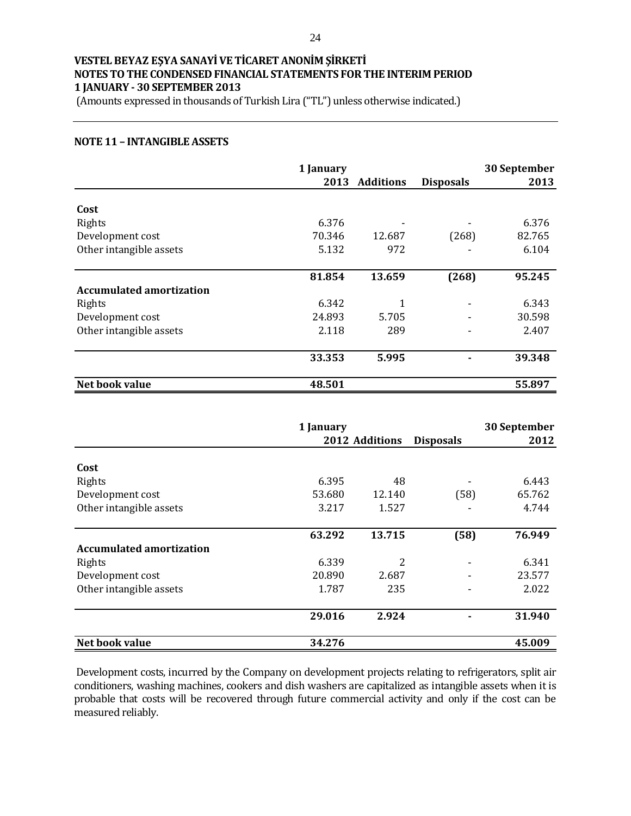(Amounts expressed in thousands of Turkish Lira ("TL") unless otherwise indicated.)

#### **NOTE 11 – INTANGIBLE ASSETS**

|                                 | 1 January |                  |                  | 30 September |
|---------------------------------|-----------|------------------|------------------|--------------|
|                                 | 2013      | <b>Additions</b> | <b>Disposals</b> | 2013         |
| Cost                            |           |                  |                  |              |
| Rights                          | 6.376     |                  |                  | 6.376        |
| Development cost                | 70.346    | 12.687           | (268)            | 82.765       |
| Other intangible assets         | 5.132     | 972              |                  | 6.104        |
|                                 | 81.854    | 13.659           | (268)            | 95.245       |
| <b>Accumulated amortization</b> |           |                  |                  |              |
| Rights                          | 6.342     | 1                |                  | 6.343        |
| Development cost                | 24.893    | 5.705            |                  | 30.598       |
| Other intangible assets         | 2.118     | 289              |                  | 2.407        |
|                                 | 33.353    | 5.995            |                  | 39.348       |
| Net book value                  | 48.501    |                  |                  | 55.897       |

|                                 | 1 January |                |                  | 30 September |
|---------------------------------|-----------|----------------|------------------|--------------|
|                                 |           | 2012 Additions | <b>Disposals</b> | 2012         |
|                                 |           |                |                  |              |
| Cost                            |           |                |                  |              |
| Rights                          | 6.395     | 48             |                  | 6.443        |
| Development cost                | 53.680    | 12.140         | (58)             | 65.762       |
| Other intangible assets         | 3.217     | 1.527          |                  | 4.744        |
|                                 |           |                |                  |              |
|                                 | 63.292    | 13.715         | (58)             | 76.949       |
| <b>Accumulated amortization</b> |           |                |                  |              |
| Rights                          | 6.339     | 2              |                  | 6.341        |
| Development cost                | 20.890    | 2.687          | ۰                | 23.577       |
| Other intangible assets         | 1.787     | 235            |                  | 2.022        |
|                                 | 29.016    | 2.924          |                  | 31.940       |
|                                 |           |                |                  |              |
| Net book value                  | 34.276    |                |                  | 45.009       |

Development costs, incurred by the Company on development projects relating to refrigerators, split air conditioners, washing machines, cookers and dish washers are capitalized as intangible assets when it is probable that costs will be recovered through future commercial activity and only if the cost can be measured reliably.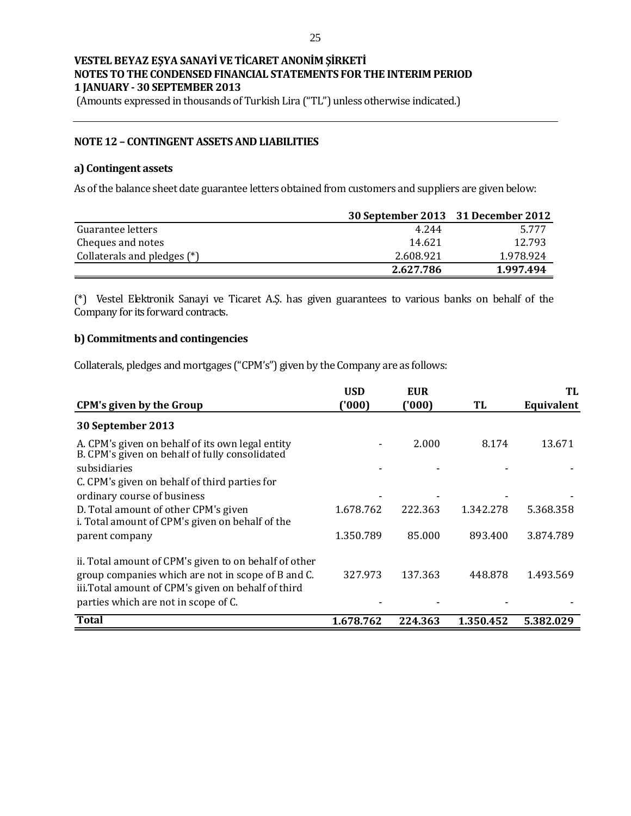(Amounts expressed in thousands of Turkish Lira ("TL") unless otherwise indicated.)

#### **NOTE 12 – CONTINGENT ASSETS AND LIABILITIES**

#### **a) Contingent assets**

As of the balance sheet date guarantee letters obtained from customers and suppliers are given below:

|                             |           | 30 September 2013 31 December 2012 |
|-----------------------------|-----------|------------------------------------|
| Guarantee letters           | 4.244     | 5.777                              |
| Cheques and notes           | 14.621    | 12.793                             |
| Collaterals and pledges (*) | 2.608.921 | 1.978.924                          |
|                             | 2.627.786 | 1.997.494                          |

(\*) Vestel Elektronik Sanayi ve Ticaret A.Ş. has given guarantees to various banks on behalf of the Company for its forward contracts.

#### **b) Commitments and contingencies**

Collaterals, pledges and mortgages ("CPM's") given by the Company are as follows:

|                                                                                                                                                                                                            | <b>USD</b> | <b>EUR</b> |           | TL         |
|------------------------------------------------------------------------------------------------------------------------------------------------------------------------------------------------------------|------------|------------|-----------|------------|
| <b>CPM's given by the Group</b>                                                                                                                                                                            | ('000)     | ('000'     | TL        | Equivalent |
| 30 September 2013                                                                                                                                                                                          |            |            |           |            |
| A. CPM's given on behalf of its own legal entity<br>B. CPM's given on behalf of fully consolidated                                                                                                         |            | 2.000      | 8.174     | 13.671     |
| subsidiaries                                                                                                                                                                                               |            |            |           |            |
| C. CPM's given on behalf of third parties for                                                                                                                                                              |            |            |           |            |
| ordinary course of business                                                                                                                                                                                |            |            |           |            |
| D. Total amount of other CPM's given<br>i. Total amount of CPM's given on behalf of the                                                                                                                    | 1.678.762  | 222.363    | 1.342.278 | 5.368.358  |
| parent company                                                                                                                                                                                             | 1.350.789  | 85.000     | 893.400   | 3.874.789  |
| ii. Total amount of CPM's given to on behalf of other<br>group companies which are not in scope of B and C.<br>iii. Total amount of CPM's given on behalf of third<br>parties which are not in scope of C. | 327.973    | 137.363    | 448.878   | 1.493.569  |
| <b>Total</b>                                                                                                                                                                                               | 1.678.762  | 224.363    | 1.350.452 | 5.382.029  |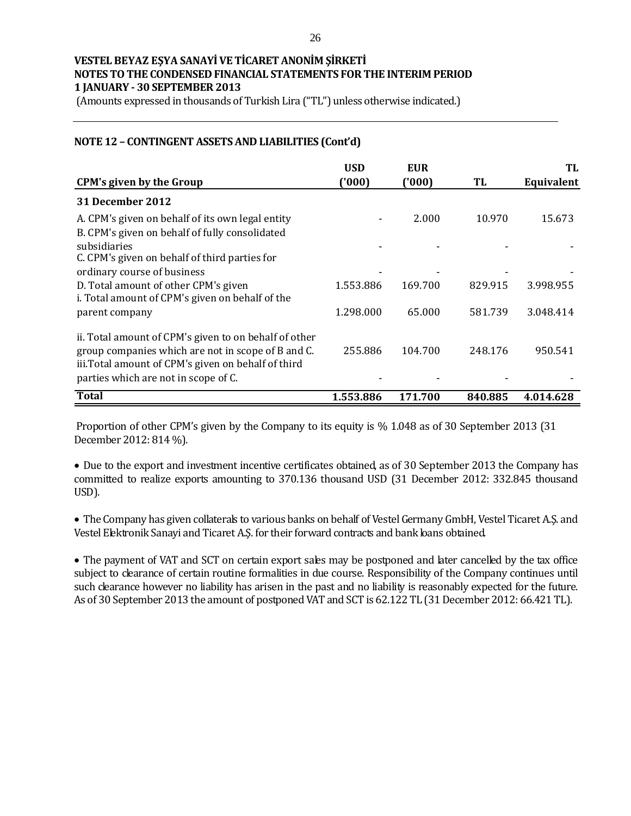(Amounts expressed in thousands of Turkish Lira ("TL") unless otherwise indicated.)

### **NOTE 12 – CONTINGENT ASSETS AND LIABILITIES (Cont'd)**

| <b>CPM's given by the Group</b>                                                                                                                                                                            | <b>USD</b><br>(000) | EUR<br>('000) | TL      | TL<br>Equivalent |
|------------------------------------------------------------------------------------------------------------------------------------------------------------------------------------------------------------|---------------------|---------------|---------|------------------|
| <b>31 December 2012</b>                                                                                                                                                                                    |                     |               |         |                  |
| A. CPM's given on behalf of its own legal entity<br>B. CPM's given on behalf of fully consolidated                                                                                                         |                     | 2.000         | 10.970  | 15.673           |
| subsidiaries<br>C. CPM's given on behalf of third parties for                                                                                                                                              |                     |               |         |                  |
| ordinary course of business<br>D. Total amount of other CPM's given                                                                                                                                        | 1.553.886           | 169.700       | 829.915 | 3.998.955        |
| i. Total amount of CPM's given on behalf of the                                                                                                                                                            |                     |               |         |                  |
| parent company                                                                                                                                                                                             | 1.298.000           | 65.000        | 581.739 | 3.048.414        |
| ii. Total amount of CPM's given to on behalf of other<br>group companies which are not in scope of B and C.<br>iii. Total amount of CPM's given on behalf of third<br>parties which are not in scope of C. | 255.886             | 104.700       | 248.176 | 950.541          |
| <b>Total</b>                                                                                                                                                                                               | 1.553.886           | 171.700       | 840.885 | 4.014.628        |

Proportion of other CPM's given by the Company to its equity is % 1.048 as of 30 September 2013 (31 December 2012: 814 %).

 Due to the export and investment incentive certificates obtained, as of 30 September 2013 the Company has committed to realize exports amounting to 370.136 thousand USD (31 December 2012: 332.845 thousand USD).

• The Company has given collaterals to various banks on behalf of Vestel Germany GmbH, Vestel Ticaret A.S. and Vestel Elektronik Sanayi and Ticaret A.Ş. for their forward contracts and bank loans obtained.

 The payment of VAT and SCT on certain export sales may be postponed and later cancelled by the tax office subject to clearance of certain routine formalities in due course. Responsibility of the Company continues until such clearance however no liability has arisen in the past and no liability is reasonably expected for the future. As of 30 September 2013 the amount of postponed VAT and SCT is 62.122 TL (31 December 2012: 66.421 TL).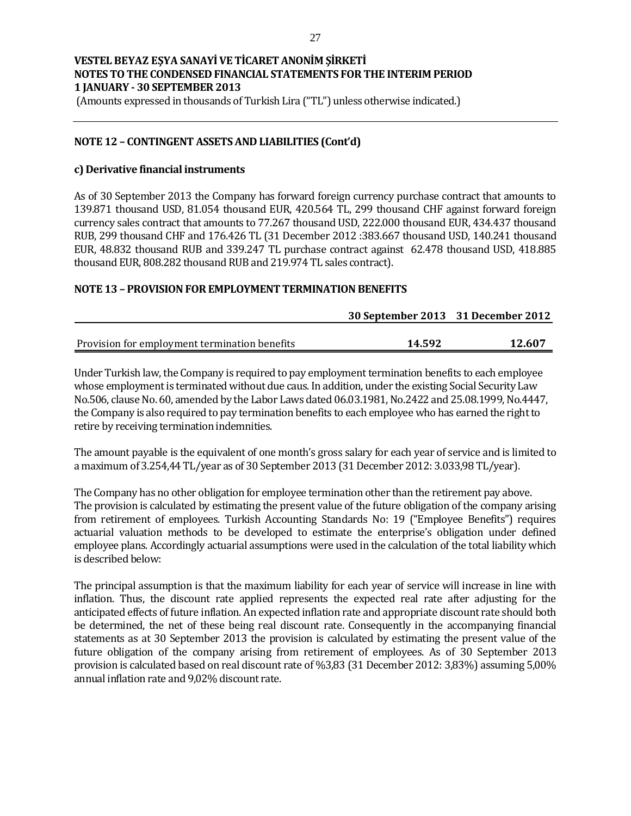(Amounts expressed in thousands of Turkish Lira ("TL") unless otherwise indicated.)

### **NOTE 12 – CONTINGENT ASSETS AND LIABILITIES (Cont'd)**

#### **c) Derivative financial instruments**

As of 30 September 2013 the Company has forward foreign currency purchase contract that amounts to 139.871 thousand USD, 81.054 thousand EUR, 420.564 TL, 299 thousand CHF against forward foreign currency sales contract that amounts to 77.267 thousand USD, 222.000 thousand EUR, 434.437 thousand RUB, 299 thousand CHF and 176.426 TL (31 December 2012 :383.667 thousand USD, 140.241 thousand EUR, 48.832 thousand RUB and 339.247 TL purchase contract against 62.478 thousand USD, 418.885 thousand EUR, 808.282 thousand RUB and 219.974 TL sales contract).

#### **NOTE 13 – PROVISION FOR EMPLOYMENT TERMINATION BENEFITS**

|                                               | 30 September 2013 31 December 2012 |        |
|-----------------------------------------------|------------------------------------|--------|
|                                               |                                    |        |
| Provision for employment termination benefits | 14.592                             | 12.607 |

Under Turkish law, the Company is required to pay employment termination benefits to each employee whose employment is terminated without due caus. In addition, under the existing Social Security Law No.506, clause No. 60, amended by the Labor Laws dated 06.03.1981, No.2422 and 25.08.1999, No.4447, the Company is also required to pay termination benefits to each employee who has earned the right to retire by receiving termination indemnities.

The amount payable is the equivalent of one month's gross salary for each year of service and is limited to a maximum of 3.254,44 TL/year as of 30 September 2013 (31 December 2012: 3.033,98 TL/year).

The Company has no other obligation for employee termination other than the retirement pay above. The provision is calculated by estimating the present value of the future obligation of the company arising from retirement of employees. Turkish Accounting Standards No: 19 ("Employee Benefits") requires actuarial valuation methods to be developed to estimate the enterprise's obligation under defined employee plans. Accordingly actuarial assumptions were used in the calculation of the total liability which is described below:

The principal assumption is that the maximum liability for each year of service will increase in line with inflation. Thus, the discount rate applied represents the expected real rate after adjusting for the anticipated effects of future inflation. An expected inflation rate and appropriate discount rate should both be determined, the net of these being real discount rate. Consequently in the accompanying financial statements as at 30 September 2013 the provision is calculated by estimating the present value of the future obligation of the company arising from retirement of employees. As of 30 September 2013 provision is calculated based on real discount rate of %3,83 (31 December 2012: 3,83%) assuming 5,00% annual inflation rate and 9,02% discount rate.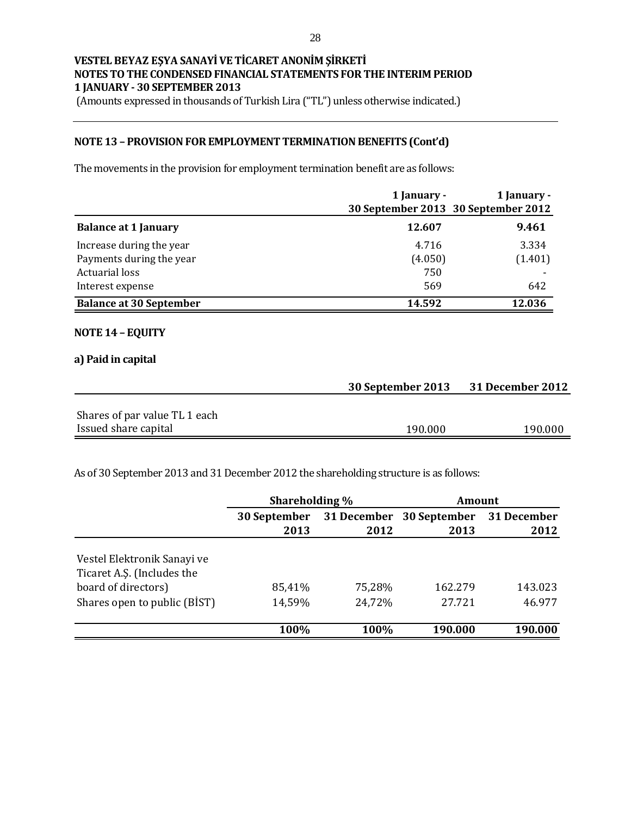(Amounts expressed in thousands of Turkish Lira ("TL") unless otherwise indicated.)

### **NOTE 13 – PROVISION FOR EMPLOYMENT TERMINATION BENEFITS (Cont'd)**

The movements in the provision for employment termination benefit are as follows:

|                                | 1 January -<br>30 September 2013 30 September 2012 | 1 January - |
|--------------------------------|----------------------------------------------------|-------------|
| <b>Balance at 1 January</b>    | 12.607                                             | 9.461       |
| Increase during the year       | 4.716                                              | 3.334       |
| Payments during the year       | (4.050)                                            | (1.401)     |
| <b>Actuarial loss</b>          | 750                                                |             |
| Interest expense               | 569                                                | 642         |
| <b>Balance at 30 September</b> | 14.592                                             | 12.036      |

#### **NOTE 14 – EQUITY**

#### **a) Paid in capital**

|                               | 30 September 2013 | <b>31 December 2012</b> |
|-------------------------------|-------------------|-------------------------|
|                               |                   |                         |
| Shares of par value TL 1 each |                   |                         |
| Issued share capital          | 190.000           | 190.000                 |

As of 30 September 2013 and 31 December 2012 the shareholding structure is as follows:

|                              | Shareholding % |        | Amount                   |         |  |             |
|------------------------------|----------------|--------|--------------------------|---------|--|-------------|
|                              | 30 September   |        | 31 December 30 September |         |  | 31 December |
|                              | 2013           | 2012   | 2013                     | 2012    |  |             |
|                              |                |        |                          |         |  |             |
| Vestel Elektronik Sanayi ve  |                |        |                          |         |  |             |
| Ticaret A.S. (Includes the   |                |        |                          |         |  |             |
| board of directors)          | 85,41%         | 75,28% | 162.279                  | 143.023 |  |             |
| Shares open to public (BIST) | 14,59%         | 24,72% | 27.721                   | 46.977  |  |             |
|                              | 100%           | 100%   | 190.000                  | 190.000 |  |             |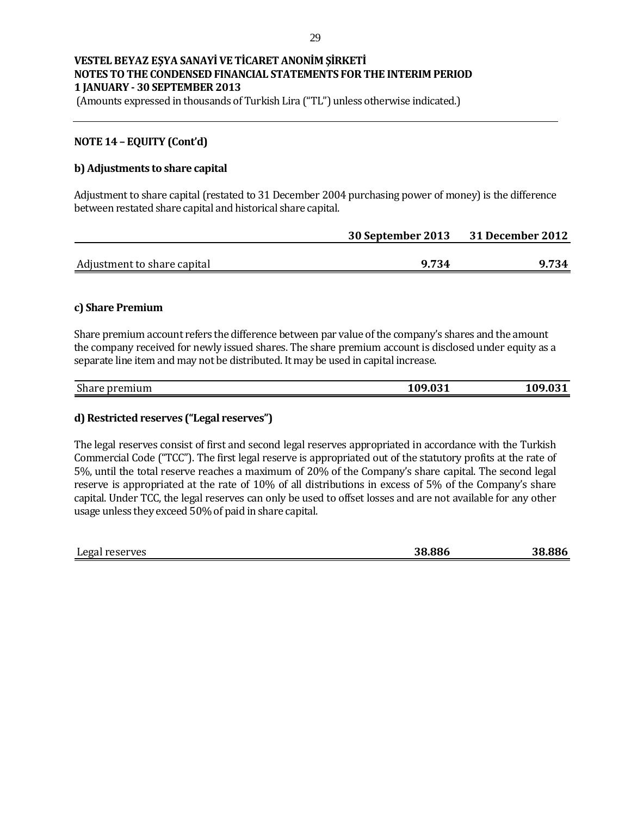(Amounts expressed in thousands of Turkish Lira ("TL") unless otherwise indicated.)

### **NOTE 14 – EQUITY (Cont'd)**

#### **b) Adjustments to share capital**

Adjustment to share capital (restated to 31 December 2004 purchasing power of money) is the difference between restated share capital and historical share capital.

|                             | 30 September 2013 | <b>31 December 2012</b> |  |
|-----------------------------|-------------------|-------------------------|--|
|                             |                   |                         |  |
| Adjustment to share capital | 9.734             | 9.734                   |  |

#### **c) Share Premium**

Share premium account refers the difference between par value of the company's shares and the amount the company received for newly issued shares. The share premium account is disclosed under equity as a separate line item and may not be distributed. It may be used in capital increase.

| $\mathbf{C}$<br>premium<br><b>Share</b> | ΩO<br><b>021</b><br>7.VJ_<br>T. | $\sim$ $\sim$ $\sim$<br>7.VJ 1 |
|-----------------------------------------|---------------------------------|--------------------------------|
|                                         |                                 |                                |

#### **d) Restricted reserves ("Legal reserves")**

The legal reserves consist of first and second legal reserves appropriated in accordance with the Turkish Commercial Code ("TCC"). The first legal reserve is appropriated out of the statutory profits at the rate of 5%, until the total reserve reaches a maximum of 20% of the Company's share capital. The second legal reserve is appropriated at the rate of 10% of all distributions in excess of 5% of the Company's share capital. Under TCC, the legal reserves can only be used to offset losses and are not available for any other usage unless they exceed 50% of paid in share capital.

| 38.886<br>38.886<br>Legal reserves<br>$\sim$ |
|----------------------------------------------|
|----------------------------------------------|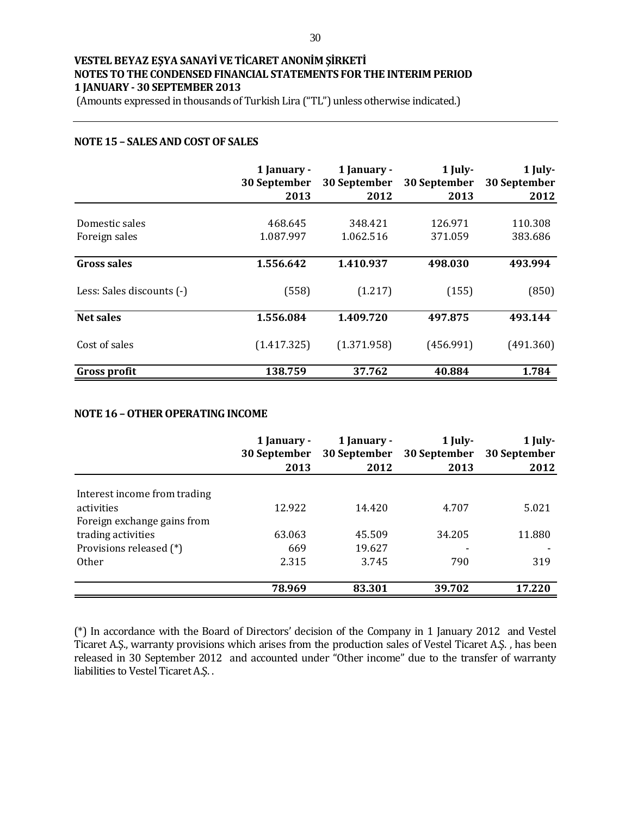(Amounts expressed in thousands of Turkish Lira ("TL") unless otherwise indicated.)

#### **NOTE 15 – SALES AND COST OF SALES**

|                           | 1 January -<br>30 September<br>2013 | 1 January -<br>30 September<br>2012 | $1$ July-<br>30 September<br>2013 | 1 July-<br>30 September<br>2012 |
|---------------------------|-------------------------------------|-------------------------------------|-----------------------------------|---------------------------------|
|                           |                                     |                                     |                                   |                                 |
| Domestic sales            | 468.645                             | 348.421                             | 126.971                           | 110.308                         |
| Foreign sales             | 1.087.997                           | 1.062.516                           | 371.059                           | 383.686                         |
| <b>Gross sales</b>        | 1.556.642                           | 1.410.937                           | 498.030                           | 493.994                         |
| Less: Sales discounts (-) | (558)                               | (1.217)                             | (155)                             | (850)                           |
| <b>Net sales</b>          | 1.556.084                           | 1.409.720                           | 497.875                           | 493.144                         |
| Cost of sales             | (1.417.325)                         | (1.371.958)                         | (456.991)                         | (491.360)                       |
| <b>Gross profit</b>       | 138.759                             | 37.762                              | 40.884                            | 1.784                           |

### **NOTE 16 –OTHER OPERATING INCOME**

|                              | 1 January -<br>30 September<br>2013 | 1 January -<br>30 September<br>2012 | $1$ July-<br>30 September<br>2013 | 1 July-<br>30 September<br>2012 |
|------------------------------|-------------------------------------|-------------------------------------|-----------------------------------|---------------------------------|
| Interest income from trading |                                     |                                     |                                   |                                 |
| activities                   | 12.922                              | 14.420                              | 4.707                             | 5.021                           |
| Foreign exchange gains from  |                                     |                                     |                                   |                                 |
| trading activities           | 63.063                              | 45.509                              | 34.205                            | 11.880                          |
| Provisions released (*)      | 669                                 | 19.627                              |                                   |                                 |
| <b>Other</b>                 | 2.315                               | 3.745                               | 790                               | 319                             |
|                              |                                     |                                     |                                   |                                 |
|                              | 78.969                              | 83.301                              | 39.702                            | 17.220                          |

(\*) In accordance with the Board of Directors' decision of the Company in 1 January 2012 and Vestel Ticaret A.Ş., warranty provisions which arises from the production sales of Vestel Ticaret A.Ş. , has been released in 30 September 2012 and accounted under "Other income" due to the transfer of warranty liabilities to Vestel Ticaret A.Ş. .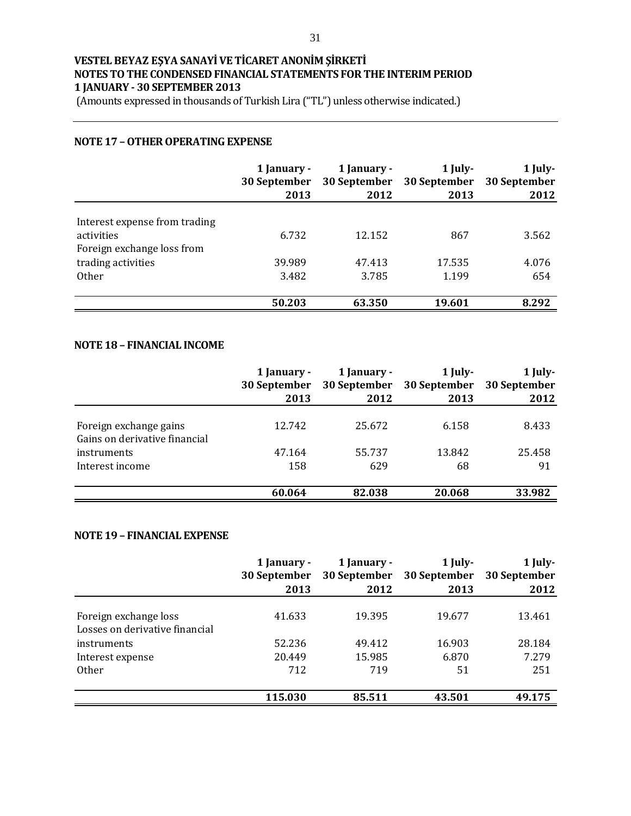(Amounts expressed in thousands of Turkish Lira ("TL") unless otherwise indicated.)

### **NOTE 17 –OTHER OPERATING EXPENSE**

|                                                                  | 1 January -<br>30 September | 1 January -<br>30 September | $1$ July-<br>30 September | 1 July-<br>30 September |
|------------------------------------------------------------------|-----------------------------|-----------------------------|---------------------------|-------------------------|
|                                                                  | 2013                        | 2012                        | 2013                      | 2012                    |
| Interest expense from trading<br>activities                      | 6.732                       | 12.152                      | 867                       | 3.562                   |
| Foreign exchange loss from<br>trading activities<br><b>Other</b> | 39.989<br>3.482             | 47.413<br>3.785             | 17.535<br>1.199           | 4.076<br>654            |
|                                                                  | 50.203                      | 63.350                      | 19.601                    | 8.292                   |

#### **NOTE 18 – FINANCIAL INCOME**

|                               | 1 January -<br>30 September<br>2013 | 1 January -<br>30 September<br>2012 | 1 July-<br>30 September<br>2013 | $1$ July-<br>30 September<br>2012 |
|-------------------------------|-------------------------------------|-------------------------------------|---------------------------------|-----------------------------------|
|                               |                                     |                                     |                                 |                                   |
| Foreign exchange gains        | 12.742                              | 25.672                              | 6.158                           | 8.433                             |
| Gains on derivative financial |                                     |                                     |                                 |                                   |
| instruments                   | 47.164                              | 55.737                              | 13.842                          | 25.458                            |
| Interest income               | 158                                 | 629                                 | 68                              | 91                                |
|                               |                                     |                                     |                                 |                                   |
|                               | 60.064                              | 82.038                              | 20.068                          | 33.982                            |

### **NOTE 19 – FINANCIAL EXPENSE**

|                                                         | 1 January -<br>30 September | 1 January -<br>30 September | $1$ July-<br>30 September | $1$ July-<br>30 September |
|---------------------------------------------------------|-----------------------------|-----------------------------|---------------------------|---------------------------|
|                                                         | 2013                        | 2012                        | 2013                      | 2012                      |
| Foreign exchange loss<br>Losses on derivative financial | 41.633                      | 19.395                      | 19.677                    | 13.461                    |
| instruments                                             | 52.236                      | 49.412                      | 16.903                    | 28.184                    |
| Interest expense                                        | 20.449                      | 15.985                      | 6.870                     | 7.279                     |
| <b>Other</b>                                            | 712                         | 719                         | 51                        | 251                       |
|                                                         |                             |                             |                           |                           |
|                                                         | 115.030                     | 85.511                      | 43.501                    | 49.175                    |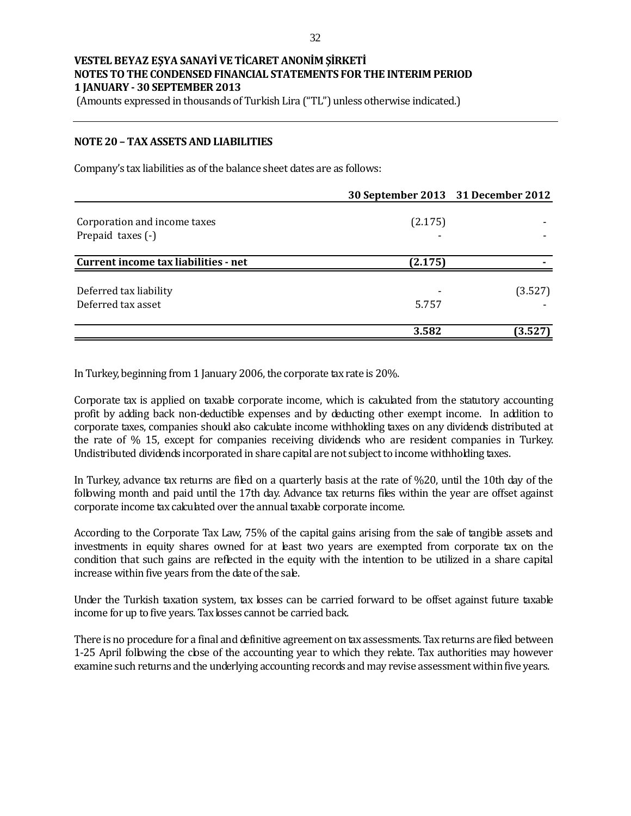(Amounts expressed in thousands of Turkish Lira ("TL") unless otherwise indicated.)

#### **NOTE 20 – TAX ASSETS AND LIABILITIES**

Company's tax liabilities as of the balance sheet dates are as follows:

|                                      | 30 September 2013 31 December 2012 |         |
|--------------------------------------|------------------------------------|---------|
| Corporation and income taxes         | (2.175)                            |         |
| Prepaid taxes (-)                    |                                    |         |
| Current income tax liabilities - net | (2.175)                            |         |
| Deferred tax liability               |                                    | (3.527) |
| Deferred tax asset                   | 5.757                              |         |
|                                      | 3.582                              | (3.527  |

In Turkey, beginning from 1 January 2006, the corporate tax rate is 20%.

Corporate tax is applied on taxable corporate income, which is calculated from the statutory accounting profit by adding back non-deductible expenses and by deducting other exempt income. In addition to corporate taxes, companies should also calculate income withholding taxes on any dividends distributed at the rate of % 15, except for companies receiving dividends who are resident companies in Turkey. Undistributed dividends incorporated in share capital are not subject to income withholding taxes.

In Turkey, advance tax returns are filed on a quarterly basis at the rate of %20, until the 10th day of the following month and paid until the 17th day. Advance tax returns files within the year are offset against corporate income tax calculated over the annual taxable corporate income.

According to the Corporate Tax Law, 75% of the capital gains arising from the sale of tangible assets and investments in equity shares owned for at least two years are exempted from corporate tax on the condition that such gains are reflected in the equity with the intention to be utilized in a share capital increase within five years from the date of the sale.

Under the Turkish taxation system, tax losses can be carried forward to be offset against future taxable income for up to five years. Tax losses cannot be carried back.

There is no procedure for a final and definitive agreement on tax assessments. Tax returns are filed between 1-25 April following the close of the accounting year to which they relate. Tax authorities may however examine such returns and the underlying accounting records and may revise assessment within five years.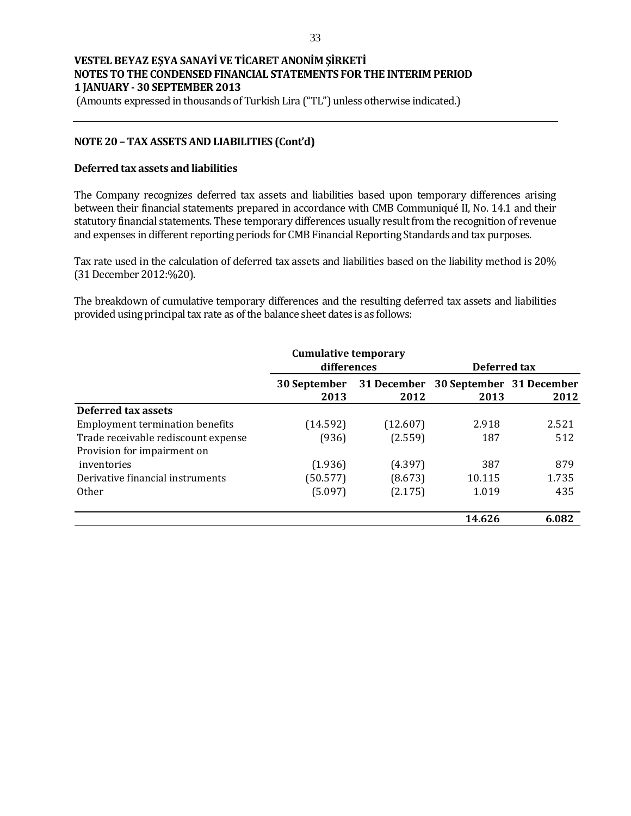(Amounts expressed in thousands of Turkish Lira ("TL") unless otherwise indicated.)

### **NOTE 20 – TAX ASSETS AND LIABILITIES (Cont'd)**

#### **Deferred tax assets and liabilities**

The Company recognizes deferred tax assets and liabilities based upon temporary differences arising between their financial statements prepared in accordance with CMB Communiqué II, No. 14.1 and their statutory financial statements. These temporary differences usually result from the recognition of revenue and expenses in different reporting periods for CMB Financial Reporting Standards and tax purposes.

Tax rate used in the calculation of deferred tax assets and liabilities based on the liability method is 20% (31 December 2012:%20).

The breakdown of cumulative temporary differences and the resulting deferred tax assets and liabilities provided using principal tax rate as of the balance sheet dates is as follows:

|                                        | <b>Cumulative temporary</b> |          |                                              |       |
|----------------------------------------|-----------------------------|----------|----------------------------------------------|-------|
|                                        | differences                 |          | Deferred tax                                 |       |
|                                        | <b>30 September</b><br>2013 | 2012     | 31 December 30 September 31 December<br>2013 | 2012  |
| <b>Deferred tax assets</b>             |                             |          |                                              |       |
| <b>Employment termination benefits</b> | (14.592)                    | (12.607) | 2.918                                        | 2.521 |
| Trade receivable rediscount expense    | (936)                       | (2.559)  | 187                                          | 512   |
| Provision for impairment on            |                             |          |                                              |       |
| inventories                            | (1.936)                     | (4.397)  | 387                                          | 879   |
| Derivative financial instruments       | (50.577)                    | (8.673)  | 10.115                                       | 1.735 |
| <b>Other</b>                           | (5.097)                     | (2.175)  | 1.019                                        | 435   |
|                                        |                             |          | 14.626                                       | 6.082 |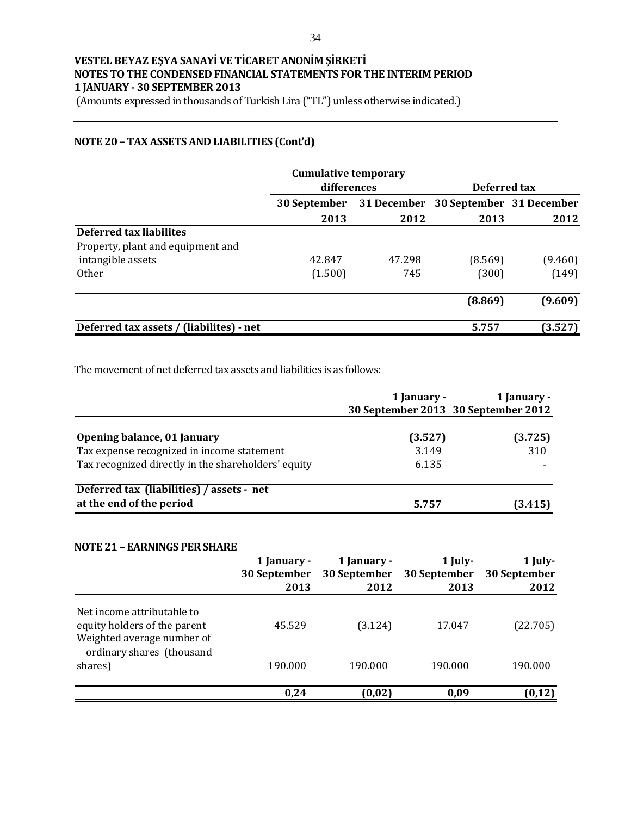(Amounts expressed in thousands of Turkish Lira ("TL") unless otherwise indicated.)

### **NOTE 20 – TAX ASSETS AND LIABILITIES (Cont'd)**

|                                          | <b>Cumulative temporary</b><br>differences |        | Deferred tax |                                      |  |
|------------------------------------------|--------------------------------------------|--------|--------------|--------------------------------------|--|
|                                          | 30 September                               |        |              | 31 December 30 September 31 December |  |
|                                          | 2013                                       | 2012   | 2013         | 2012                                 |  |
| Deferred tax liabilites                  |                                            |        |              |                                      |  |
| Property, plant and equipment and        |                                            |        |              |                                      |  |
| intangible assets                        | 42.847                                     | 47.298 | (8.569)      | (9.460)                              |  |
| <b>Other</b>                             | (1.500)                                    | 745    | (300)        | (149)                                |  |
|                                          |                                            |        | (8.869)      | (9.609)                              |  |
| Deferred tax assets / (liabilites) - net |                                            |        | 5.757        | (3.527)                              |  |

The movement of net deferred tax assets and liabilities is as follows:

|                                                                           | 1 January -      | 1 January -<br>30 September 2013 30 September 2012 |
|---------------------------------------------------------------------------|------------------|----------------------------------------------------|
| Opening balance, 01 January<br>Tax expense recognized in income statement | (3.527)<br>3.149 | (3.725)<br>310                                     |
| Tax recognized directly in the shareholders' equity                       | 6.135            |                                                    |
| Deferred tax (liabilities) / assets - net<br>at the end of the period     | 5.757            | (3.415)                                            |

#### **NOTE 21 – EARNINGS PER SHARE**

|                                                                                          | 1 January -<br>30 September<br>2013 | 1 January -<br>30 September<br>2012 | 1 July-<br>30 September<br>2013 | 1 July-<br>30 September<br>2012 |
|------------------------------------------------------------------------------------------|-------------------------------------|-------------------------------------|---------------------------------|---------------------------------|
| Net income attributable to<br>equity holders of the parent<br>Weighted average number of | 45.529                              | (3.124)                             | 17.047                          | (22.705)                        |
| ordinary shares (thousand<br>shares)                                                     | 190.000                             | 190.000                             | 190.000                         | 190.000                         |
|                                                                                          | 0,24                                | (0,02)                              | 0,09                            | (0, 12)                         |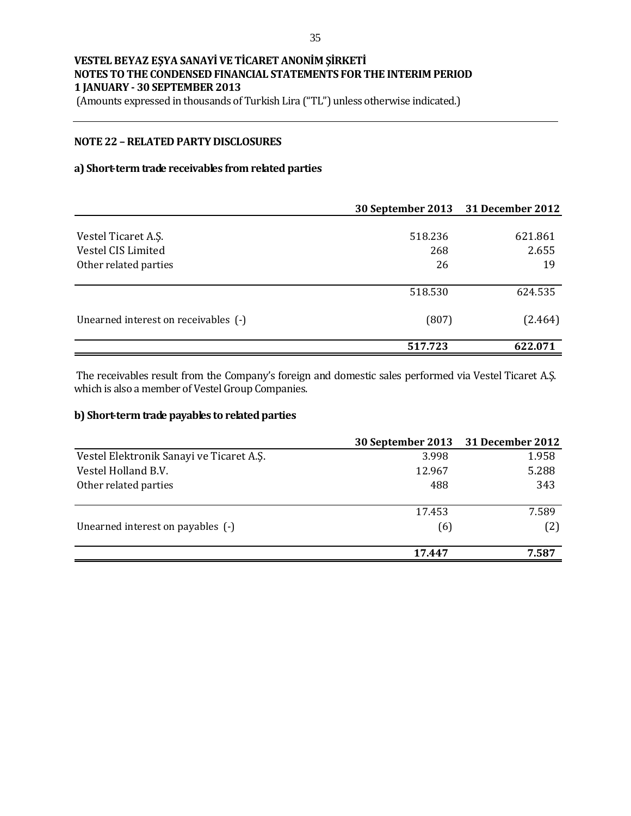(Amounts expressed in thousands of Turkish Lira ("TL") unless otherwise indicated.)

#### **NOTE 22 –RELATED PARTY DISCLOSURES**

#### **a) Short-term trade receivables from related parties**

|                                      | 30 September 2013 31 December 2012 |         |
|--------------------------------------|------------------------------------|---------|
|                                      |                                    |         |
| Vestel Ticaret A.S.                  | 518.236                            | 621.861 |
| Vestel CIS Limited                   | 268                                | 2.655   |
| Other related parties                | 26                                 | 19      |
|                                      | 518.530                            | 624.535 |
| Unearned interest on receivables (-) | (807)                              | (2.464) |
|                                      | 517.723                            | 622.071 |

The receivables result from the Company's foreign and domestic sales performed via Vestel Ticaret A.Ş. which is also a member of Vestel Group Companies.

### **b) Short-term trade payables to related parties**

| 3.998  | 1.958                                        |
|--------|----------------------------------------------|
| 12.967 | 5.288                                        |
| 488    | 343                                          |
|        |                                              |
|        | 7.589                                        |
| (6)    | (2)                                          |
| 17.447 | 7.587                                        |
|        | 30 September 2013 31 December 2012<br>17.453 |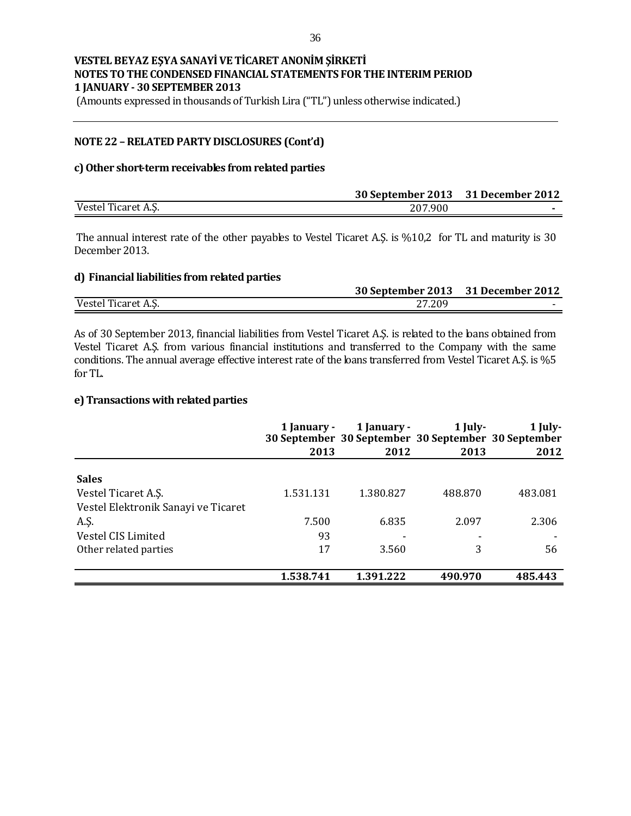(Amounts expressed in thousands of Turkish Lira ("TL") unless otherwise indicated.)

#### **NOTE 22 –RELATED PARTY DISCLOSURES (Cont'd)**

#### **c) Other short-term receivables from related parties**

|                     | 30 September 2013 31 December 2012 |  |
|---------------------|------------------------------------|--|
| Vestel Ticaret A.S. | 207.900                            |  |

The annual interest rate of the other payables to Vestel Ticaret A.Ş. is %10,2 for TL and maturity is 30 December 2013.

### **d) Financial liabilities from related parties**

|                     | 30 September 2013 31 December 2012 |  |
|---------------------|------------------------------------|--|
| Vestel Ticaret A.S. | 27.209                             |  |

As of 30 September 2013, financial liabilities from Vestel Ticaret A.Ş. is related to the bans obtained from Vestel Ticaret A.Ş. from various financial institutions and transferred to the Company with the same conditions. The annual average effective interest rate of the bans transferred from Vestel Ticaret A.Ş. is %5 for TL.

#### **e) Transactions with related parties**

|                                     | 1 January - | 1 January -<br>30 September 30 September 30 September 30 September | 1 July- | 1 July- |
|-------------------------------------|-------------|--------------------------------------------------------------------|---------|---------|
|                                     | 2013        | 2012                                                               | 2013    | 2012    |
| <b>Sales</b>                        |             |                                                                    |         |         |
| Vestel Ticaret A.S.                 | 1.531.131   | 1.380.827                                                          | 488.870 | 483.081 |
| Vestel Elektronik Sanayi ve Ticaret |             |                                                                    |         |         |
| A.Ş.                                | 7.500       | 6.835                                                              | 2.097   | 2.306   |
| Vestel CIS Limited                  | 93          |                                                                    |         |         |
| Other related parties               | 17          | 3.560                                                              | 3       | 56      |
|                                     | 1.538.741   | 1.391.222                                                          | 490.970 | 485.443 |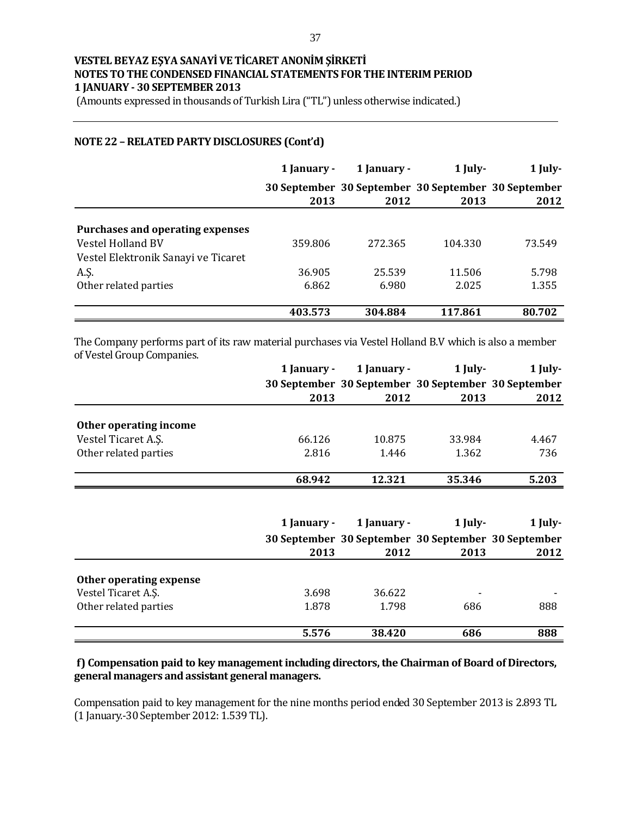(Amounts expressed in thousands of Turkish Lira ("TL") unless otherwise indicated.)

### **NOTE 22 –RELATED PARTY DISCLOSURES (Cont'd)**

|                                         | 1 January - | 1 January -                                                 | 1 July- | 1 July- |
|-----------------------------------------|-------------|-------------------------------------------------------------|---------|---------|
|                                         | 2013        | 30 September 30 September 30 September 30 September<br>2012 | 2013    | 2012    |
|                                         |             |                                                             |         |         |
| <b>Purchases and operating expenses</b> |             |                                                             |         |         |
| <b>Vestel Holland BV</b>                | 359.806     | 272.365                                                     | 104.330 | 73.549  |
| Vestel Elektronik Sanayi ve Ticaret     |             |                                                             |         |         |
| A.Ş.                                    | 36.905      | 25.539                                                      | 11.506  | 5.798   |
| Other related parties                   | 6.862       | 6.980                                                       | 2.025   | 1.355   |
|                                         |             |                                                             |         |         |
|                                         | 403.573     | 304.884                                                     | 117.861 | 80.702  |

The Company performs part of its raw material purchases via Vestel Holland B.V which is also a member of Vestel Group Companies.

|                         | 1 January - | 1 January -                                         | 1 July- | 1 July- |
|-------------------------|-------------|-----------------------------------------------------|---------|---------|
|                         |             | 30 September 30 September 30 September 30 September |         |         |
|                         | 2013        | 2012                                                | 2013    | 2012    |
| Other operating income  |             |                                                     |         |         |
| Vestel Ticaret A.S.     | 66.126      | 10.875                                              | 33.984  | 4.467   |
| Other related parties   | 2.816       | 1.446                                               | 1.362   | 736     |
|                         |             |                                                     |         |         |
|                         | 68.942      | 12.321                                              | 35.346  | 5.203   |
|                         |             |                                                     |         |         |
|                         | 1 January - | 1 January -                                         | 1 July- | 1 July- |
|                         |             | 30 September 30 September 30 September 30 September |         |         |
|                         | 2013        | 2012                                                | 2013    | 2012    |
| Other operating expense |             |                                                     |         |         |
|                         |             |                                                     |         |         |
| Vestel Ticaret A.S.     | 3.698       | 36.622                                              |         |         |
| Other related parties   | 1.878       | 1.798                                               | 686     | 888     |

### **f) Compensation paid to key management including directors, the Chairman of Board of Directors, general managers and assistant general managers.**

Compensation paid to key management for the nine months period ended 30 September 2013 is 2.893 TL (1 January.-30 September 2012: 1.539 TL).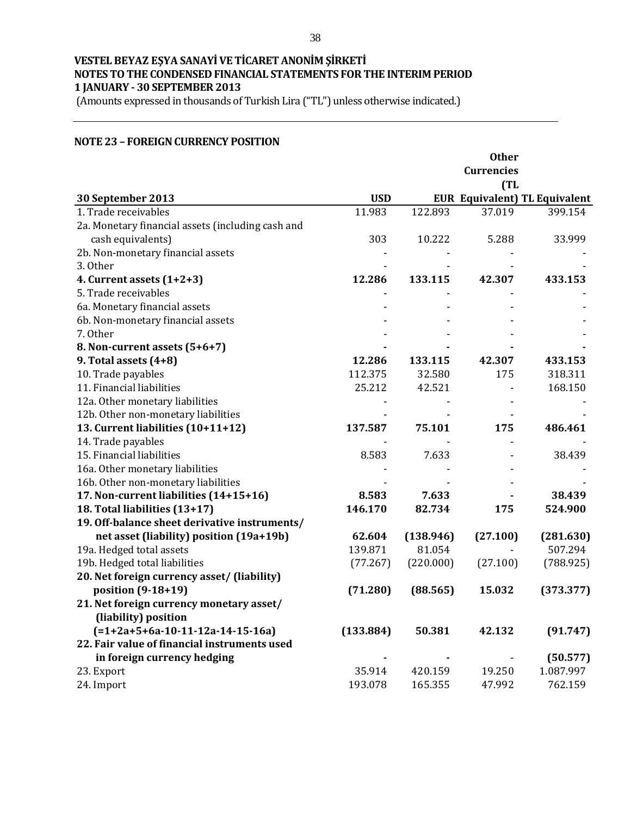(Amounts expressed in thousands of Turkish Lira ("TL") unless otherwise indicated.)

#### **NOTE 23 – FOREIGN CURRENCY POSITION**

|                                                   |            |           | <b>Other</b>      |                                      |
|---------------------------------------------------|------------|-----------|-------------------|--------------------------------------|
|                                                   |            |           | <b>Currencies</b> |                                      |
|                                                   |            |           | (TL)              |                                      |
| 30 September 2013                                 | <b>USD</b> |           |                   | <b>EUR Equivalent) TL Equivalent</b> |
| 1. Trade receivables                              | 11.983     | 122.893   | 37.019            | 399.154                              |
| 2a. Monetary financial assets (including cash and |            |           |                   |                                      |
| cash equivalents)                                 | 303        | 10.222    | 5.288             | 33.999                               |
| 2b. Non-monetary financial assets                 |            |           |                   |                                      |
| 3. Other                                          |            |           |                   |                                      |
| 4. Current assets $(1+2+3)$                       | 12.286     | 133.115   | 42.307            | 433.153                              |
| 5. Trade receivables                              |            |           |                   |                                      |
| 6a. Monetary financial assets                     |            |           |                   |                                      |
| 6b. Non-monetary financial assets                 |            |           |                   |                                      |
| 7. Other                                          |            |           |                   |                                      |
| 8. Non-current assets (5+6+7)                     |            |           |                   |                                      |
| 9. Total assets $(4+8)$                           | 12.286     | 133.115   | 42.307            | 433.153                              |
| 10. Trade payables                                | 112.375    | 32.580    | 175               | 318.311                              |
| 11. Financial liabilities                         | 25.212     | 42.521    |                   | 168.150                              |
| 12a. Other monetary liabilities                   |            |           |                   |                                      |
| 12b. Other non-monetary liabilities               |            |           |                   |                                      |
| 13. Current liabilities (10+11+12)                | 137.587    | 75.101    | 175               | 486.461                              |
| 14. Trade payables                                |            |           |                   |                                      |
| 15. Financial liabilities                         | 8.583      | 7.633     |                   | 38.439                               |
| 16a. Other monetary liabilities                   |            |           |                   |                                      |
| 16b. Other non-monetary liabilities               |            |           |                   |                                      |
| 17. Non-current liabilities (14+15+16)            | 8.583      | 7.633     |                   | 38.439                               |
| 18. Total liabilities (13+17)                     | 146.170    | 82.734    | 175               | 524.900                              |
| 19. Off-balance sheet derivative instruments/     |            |           |                   |                                      |
| net asset (liability) position (19a+19b)          | 62.604     | (138.946) | (27.100)          | (281.630)                            |
| 19a. Hedged total assets                          | 139.871    | 81.054    |                   | 507.294                              |
| 19b. Hedged total liabilities                     | (77.267)   | (220.000) | (27.100)          | (788.925)                            |
| 20. Net foreign currency asset/ (liability)       |            |           |                   |                                      |
| position (9-18+19)                                | (71.280)   | (88.565)  | 15.032            | (373.377)                            |
| 21. Net foreign currency monetary asset/          |            |           |                   |                                      |
| (liability) position                              |            |           |                   |                                      |
| $(=1+2a+5+6a-10-11-12a-14-15-16a)$                | (133.884)  | 50.381    | 42.132            | (91.747)                             |
| 22. Fair value of financial instruments used      |            |           |                   |                                      |
| in foreign currency hedging                       |            |           |                   | (50.577)                             |
| 23. Export                                        | 35.914     | 420.159   | 19.250            | 1.087.997                            |
| 24. Import                                        | 193.078    | 165.355   | 47.992            | 762.159                              |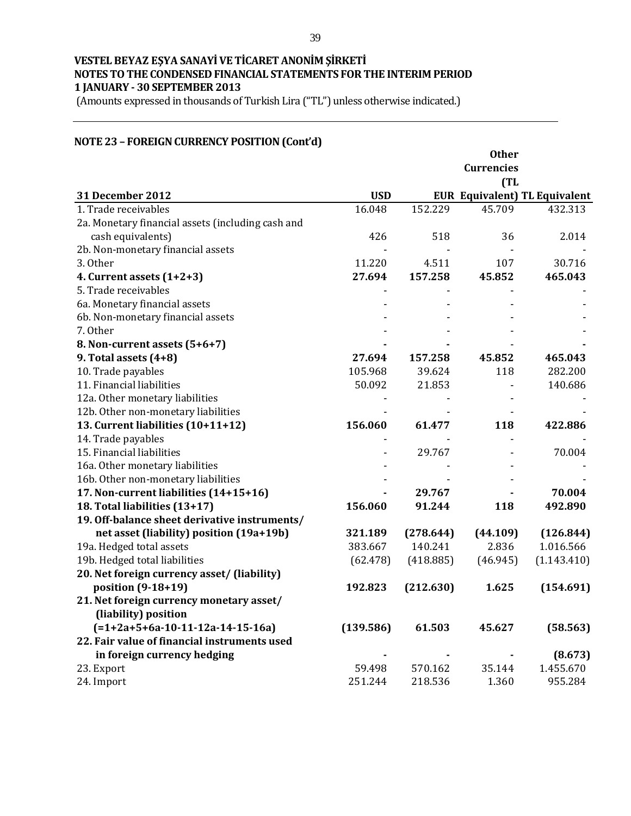(Amounts expressed in thousands of Turkish Lira ("TL") unless otherwise indicated.)

### **NOTE 23 – FOREIGN CURRENCY POSITION (Cont'd)**

|                                                   |            |           | <b>Other</b>      |                                      |
|---------------------------------------------------|------------|-----------|-------------------|--------------------------------------|
|                                                   |            |           | <b>Currencies</b> |                                      |
|                                                   |            |           | (TL)              |                                      |
| <b>31 December 2012</b>                           | <b>USD</b> |           |                   | <b>EUR Equivalent) TL Equivalent</b> |
| 1. Trade receivables                              | 16.048     | 152.229   | 45.709            | 432.313                              |
| 2a. Monetary financial assets (including cash and |            |           |                   |                                      |
| cash equivalents)                                 | 426        | 518       | 36                | 2.014                                |
| 2b. Non-monetary financial assets                 |            |           |                   |                                      |
| 3. Other                                          | 11.220     | 4.511     | 107               | 30.716                               |
| 4. Current assets $(1+2+3)$                       | 27.694     | 157.258   | 45.852            | 465.043                              |
| 5. Trade receivables                              |            |           |                   |                                      |
| 6a. Monetary financial assets                     |            |           |                   |                                      |
| 6b. Non-monetary financial assets                 |            |           |                   |                                      |
| 7. Other                                          |            |           |                   |                                      |
| 8. Non-current assets (5+6+7)                     |            |           |                   |                                      |
| 9. Total assets (4+8)                             | 27.694     | 157.258   | 45.852            | 465.043                              |
| 10. Trade payables                                | 105.968    | 39.624    | 118               | 282.200                              |
| 11. Financial liabilities                         | 50.092     | 21.853    |                   | 140.686                              |
| 12a. Other monetary liabilities                   |            |           |                   |                                      |
| 12b. Other non-monetary liabilities               |            |           |                   |                                      |
| 13. Current liabilities (10+11+12)                | 156.060    | 61.477    | 118               | 422.886                              |
| 14. Trade payables                                |            |           |                   |                                      |
| 15. Financial liabilities                         |            | 29.767    |                   | 70.004                               |
| 16a. Other monetary liabilities                   |            |           |                   |                                      |
| 16b. Other non-monetary liabilities               |            |           |                   |                                      |
| 17. Non-current liabilities (14+15+16)            |            | 29.767    |                   | 70.004                               |
| 18. Total liabilities (13+17)                     | 156.060    | 91.244    | 118               | 492.890                              |
| 19. Off-balance sheet derivative instruments/     |            |           |                   |                                      |
| net asset (liability) position (19a+19b)          | 321.189    | (278.644) | (44.109)          | (126.844)                            |
| 19a. Hedged total assets                          | 383.667    | 140.241   | 2.836             | 1.016.566                            |
| 19b. Hedged total liabilities                     | (62.478)   | (418.885) | (46.945)          | (1.143.410)                          |
| 20. Net foreign currency asset/ (liability)       |            |           |                   |                                      |
| position (9-18+19)                                | 192.823    | (212.630) | 1.625             | (154.691)                            |
| 21. Net foreign currency monetary asset/          |            |           |                   |                                      |
| (liability) position                              |            |           |                   |                                      |
| $(=1+2a+5+6a-10-11-12a-14-15-16a)$                | (139.586)  | 61.503    | 45.627            | (58.563)                             |
| 22. Fair value of financial instruments used      |            |           |                   |                                      |
| in foreign currency hedging                       |            |           |                   | (8.673)                              |
| 23. Export                                        | 59.498     | 570.162   | 35.144            | 1.455.670                            |
| 24. Import                                        | 251.244    | 218.536   | 1.360             | 955.284                              |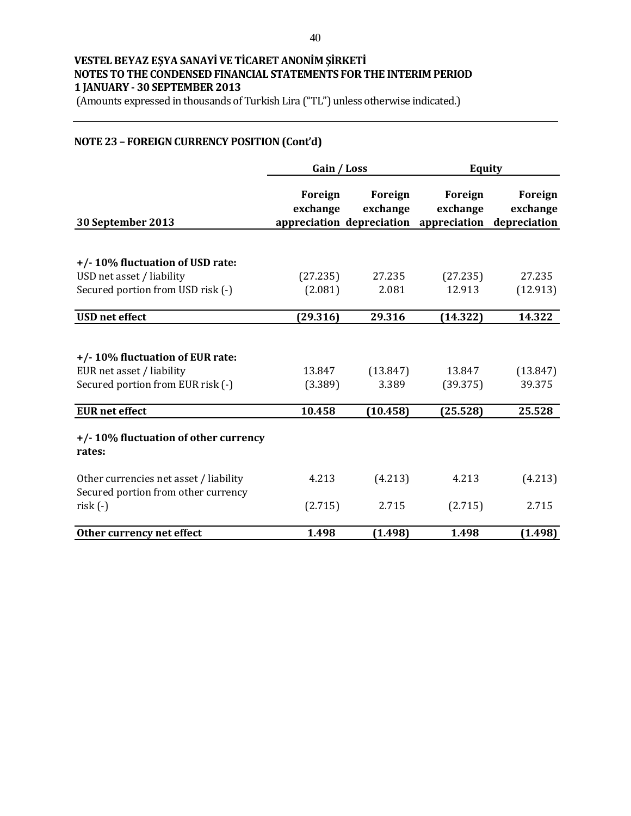(Amounts expressed in thousands of Turkish Lira ("TL") unless otherwise indicated.)

### **NOTE 23 – FOREIGN CURRENCY POSITION(Cont'd)**

|                                        | Gain / Loss         |                     | <b>Equity</b>                                                 |                                     |  |
|----------------------------------------|---------------------|---------------------|---------------------------------------------------------------|-------------------------------------|--|
| 30 September 2013                      | Foreign<br>exchange | Foreign<br>exchange | Foreign<br>exchange<br>appreciation depreciation appreciation | Foreign<br>exchange<br>depreciation |  |
|                                        |                     |                     |                                                               |                                     |  |
| +/-10% fluctuation of USD rate:        |                     |                     |                                                               |                                     |  |
| USD net asset / liability              | (27.235)            | 27.235              | (27.235)                                                      | 27.235                              |  |
| Secured portion from USD risk (-)      | (2.081)             | 2.081               | 12.913                                                        | (12.913)                            |  |
| <b>USD</b> net effect                  | (29.316)            | 29.316              | (14.322)                                                      | 14.322                              |  |
|                                        |                     |                     |                                                               |                                     |  |
| +/-10% fluctuation of EUR rate:        |                     |                     |                                                               |                                     |  |
| EUR net asset / liability              | 13.847              | (13.847)            | 13.847                                                        | (13.847)                            |  |
| Secured portion from EUR risk (-)      | (3.389)             | 3.389               | (39.375)                                                      | 39.375                              |  |
|                                        |                     |                     |                                                               |                                     |  |
| <b>EUR</b> net effect                  | 10.458              | (10.458)            | (25.528)                                                      | 25.528                              |  |
| +/-10% fluctuation of other currency   |                     |                     |                                                               |                                     |  |
| rates:                                 |                     |                     |                                                               |                                     |  |
| Other currencies net asset / liability | 4.213               | (4.213)             | 4.213                                                         | (4.213)                             |  |
| Secured portion from other currency    |                     |                     |                                                               |                                     |  |
| $risk(-)$                              | (2.715)             | 2.715               | (2.715)                                                       | 2.715                               |  |
| Other currency net effect              | 1.498               | (1.498)             | 1.498                                                         | (1.498)                             |  |